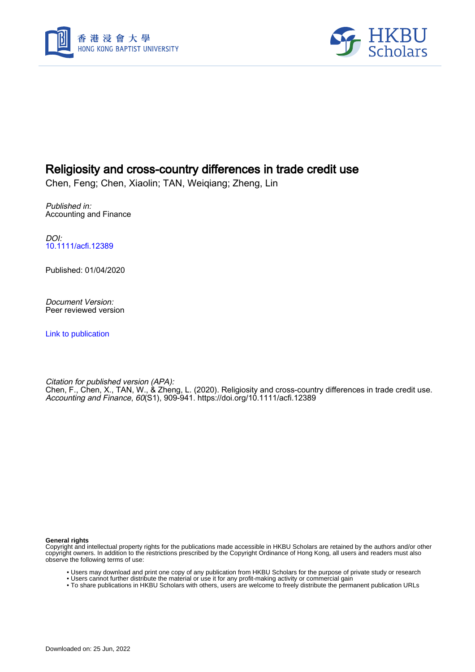



# Religiosity and cross-country differences in trade credit use

Chen, Feng; Chen, Xiaolin; TAN, Weiqiang; Zheng, Lin

Published in: Accounting and Finance

DOI: [10.1111/acfi.12389](https://doi.org/10.1111/acfi.12389)

Published: 01/04/2020

Document Version: Peer reviewed version

[Link to publication](https://scholars.hkbu.edu.hk/en/publications/9a7887ac-c2cd-4479-8fcc-6ef6dce11409)

Citation for published version (APA): Chen, F., Chen, X., TAN, W., & Zheng, L. (2020). Religiosity and cross-country differences in trade credit use. Accounting and Finance, 60(S1), 909-941. <https://doi.org/10.1111/acfi.12389>

**General rights**

Copyright and intellectual property rights for the publications made accessible in HKBU Scholars are retained by the authors and/or other copyright owners. In addition to the restrictions prescribed by the Copyright Ordinance of Hong Kong, all users and readers must also observe the following terms of use:

- Users may download and print one copy of any publication from HKBU Scholars for the purpose of private study or research
- Users cannot further distribute the material or use it for any profit-making activity or commercial gain
- To share publications in HKBU Scholars with others, users are welcome to freely distribute the permanent publication URLs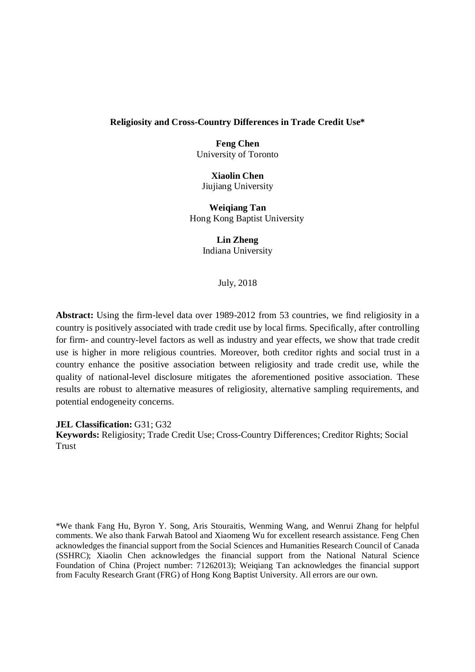### **Religiosity and Cross-Country Differences in Trade Credit Use\***

**Feng Chen** University of Toronto

**Xiaolin Chen** Jiujiang University

**Weiqiang Tan** Hong Kong Baptist University

> **Lin Zheng** Indiana University

> > July, 2018

**Abstract:** Using the firm-level data over 1989-2012 from 53 countries, we find religiosity in a country is positively associated with trade credit use by local firms. Specifically, after controlling for firm- and country-level factors as well as industry and year effects, we show that trade credit use is higher in more religious countries. Moreover, both creditor rights and social trust in a country enhance the positive association between religiosity and trade credit use, while the quality of national-level disclosure mitigates the aforementioned positive association. These results are robust to alternative measures of religiosity, alternative sampling requirements, and potential endogeneity concerns.

**JEL Classification:** G31; G32

**Keywords:** Religiosity; Trade Credit Use; Cross-Country Differences; Creditor Rights; Social Trust

\*We thank Fang Hu, Byron Y. Song, Aris Stouraitis, Wenming Wang, and Wenrui Zhang for helpful comments. We also thank Farwah Batool and Xiaomeng Wu for excellent research assistance. Feng Chen acknowledges the financial support from the Social Sciences and Humanities Research Council of Canada (SSHRC); Xiaolin Chen acknowledges the financial support from the National Natural Science Foundation of China (Project number: 71262013); Weiqiang Tan acknowledges the financial support from Faculty Research Grant (FRG) of Hong Kong Baptist University. All errors are our own.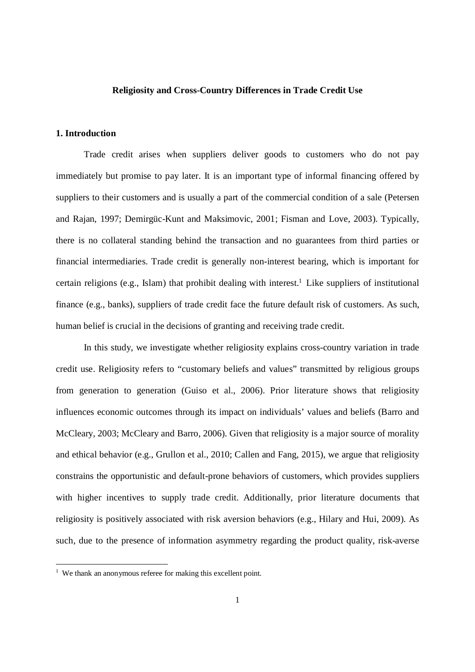### **Religiosity and Cross-Country Differences in Trade Credit Use**

### **1. Introduction**

Trade credit arises when suppliers deliver goods to customers who do not pay immediately but promise to pay later. It is an important type of informal financing offered by suppliers to their customers and is usually a part of the commercial condition of a sale (Petersen and Rajan, 1997; Demirgüc-Kunt and Maksimovic, 2001; Fisman and Love, 2003). Typically, there is no collateral standing behind the transaction and no guarantees from third parties or financial intermediaries. Trade credit is generally non-interest bearing, which is important for certain religions (e.g., Islam) that prohibit dealing with interest.<sup>1</sup> Like suppliers of institutional finance (e.g., banks), suppliers of trade credit face the future default risk of customers. As such, human belief is crucial in the decisions of granting and receiving trade credit.

In this study, we investigate whether religiosity explains cross-country variation in trade credit use. Religiosity refers to "customary beliefs and values" transmitted by religious groups from generation to generation (Guiso et al., 2006). Prior literature shows that religiosity influences economic outcomes through its impact on individuals' values and beliefs (Barro and McCleary, 2003; McCleary and Barro, 2006). Given that religiosity is a major source of morality and ethical behavior (e.g., Grullon et al., 2010; Callen and Fang, 2015), we argue that religiosity constrains the opportunistic and default-prone behaviors of customers, which provides suppliers with higher incentives to supply trade credit. Additionally, prior literature documents that religiosity is positively associated with risk aversion behaviors (e.g., Hilary and Hui, 2009). As such, due to the presence of information asymmetry regarding the product quality, risk-averse

<sup>&</sup>lt;sup>1</sup> We thank an anonymous referee for making this excellent point.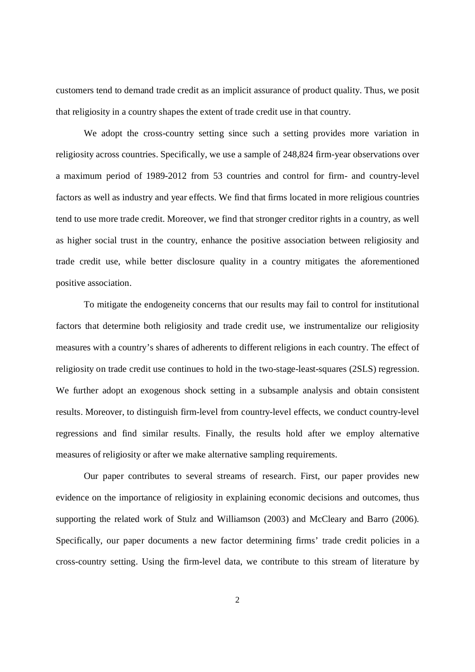customers tend to demand trade credit as an implicit assurance of product quality. Thus, we posit that religiosity in a country shapes the extent of trade credit use in that country.

We adopt the cross-country setting since such a setting provides more variation in religiosity across countries. Specifically, we use a sample of 248,824 firm-year observations over a maximum period of 1989-2012 from 53 countries and control for firm- and country-level factors as well as industry and year effects. We find that firms located in more religious countries tend to use more trade credit. Moreover, we find that stronger creditor rights in a country, as well as higher social trust in the country, enhance the positive association between religiosity and trade credit use, while better disclosure quality in a country mitigates the aforementioned positive association.

To mitigate the endogeneity concerns that our results may fail to control for institutional factors that determine both religiosity and trade credit use, we instrumentalize our religiosity measures with a country's shares of adherents to different religions in each country. The effect of religiosity on trade credit use continues to hold in the two-stage-least-squares (2SLS) regression. We further adopt an exogenous shock setting in a subsample analysis and obtain consistent results. Moreover, to distinguish firm-level from country-level effects, we conduct country-level regressions and find similar results. Finally, the results hold after we employ alternative measures of religiosity or after we make alternative sampling requirements.

Our paper contributes to several streams of research. First, our paper provides new evidence on the importance of religiosity in explaining economic decisions and outcomes, thus supporting the related work of Stulz and Williamson (2003) and McCleary and Barro (2006). Specifically, our paper documents a new factor determining firms' trade credit policies in a cross-country setting. Using the firm-level data, we contribute to this stream of literature by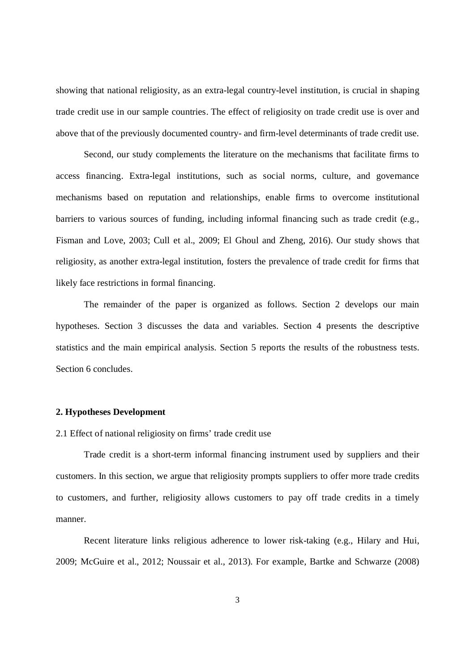showing that national religiosity, as an extra-legal country-level institution, is crucial in shaping trade credit use in our sample countries. The effect of religiosity on trade credit use is over and above that of the previously documented country- and firm-level determinants of trade credit use.

Second, our study complements the literature on the mechanisms that facilitate firms to access financing. Extra-legal institutions, such as social norms, culture, and governance mechanisms based on reputation and relationships, enable firms to overcome institutional barriers to various sources of funding, including informal financing such as trade credit (e.g., Fisman and Love, 2003; Cull et al., 2009; El Ghoul and Zheng, 2016). Our study shows that religiosity, as another extra-legal institution, fosters the prevalence of trade credit for firms that likely face restrictions in formal financing.

The remainder of the paper is organized as follows. Section 2 develops our main hypotheses. Section 3 discusses the data and variables. Section 4 presents the descriptive statistics and the main empirical analysis. Section 5 reports the results of the robustness tests. Section 6 concludes.

#### **2. Hypotheses Development**

2.1 Effect of national religiosity on firms' trade credit use

Trade credit is a short-term informal financing instrument used by suppliers and their customers. In this section, we argue that religiosity prompts suppliers to offer more trade credits to customers, and further, religiosity allows customers to pay off trade credits in a timely manner.

Recent literature links religious adherence to lower risk-taking (e.g., Hilary and Hui, 2009; McGuire et al., 2012; Noussair et al., 2013). For example, Bartke and Schwarze (2008)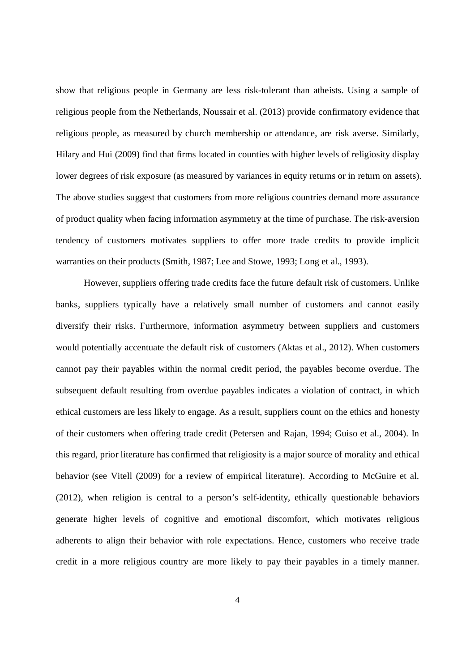show that religious people in Germany are less risk-tolerant than atheists. Using a sample of religious people from the Netherlands, Noussair et al. (2013) provide confirmatory evidence that religious people, as measured by church membership or attendance, are risk averse. Similarly, Hilary and Hui (2009) find that firms located in counties with higher levels of religiosity display lower degrees of risk exposure (as measured by variances in equity returns or in return on assets). The above studies suggest that customers from more religious countries demand more assurance of product quality when facing information asymmetry at the time of purchase. The risk-aversion tendency of customers motivates suppliers to offer more trade credits to provide implicit warranties on their products (Smith, 1987; Lee and Stowe, 1993; Long et al., 1993).

However, suppliers offering trade credits face the future default risk of customers. Unlike banks, suppliers typically have a relatively small number of customers and cannot easily diversify their risks. Furthermore, information asymmetry between suppliers and customers would potentially accentuate the default risk of customers (Aktas et al., 2012). When customers cannot pay their payables within the normal credit period, the payables become overdue. The subsequent default resulting from overdue payables indicates a violation of contract, in which ethical customers are less likely to engage. As a result, suppliers count on the ethics and honesty of their customers when offering trade credit (Petersen and Rajan, 1994; Guiso et al., 2004). In this regard, prior literature has confirmed that religiosity is a major source of morality and ethical behavior (see Vitell (2009) for a review of empirical literature). According to McGuire et al. (2012), when religion is central to a person's self-identity, ethically questionable behaviors generate higher levels of cognitive and emotional discomfort, which motivates religious adherents to align their behavior with role expectations. Hence, customers who receive trade credit in a more religious country are more likely to pay their payables in a timely manner.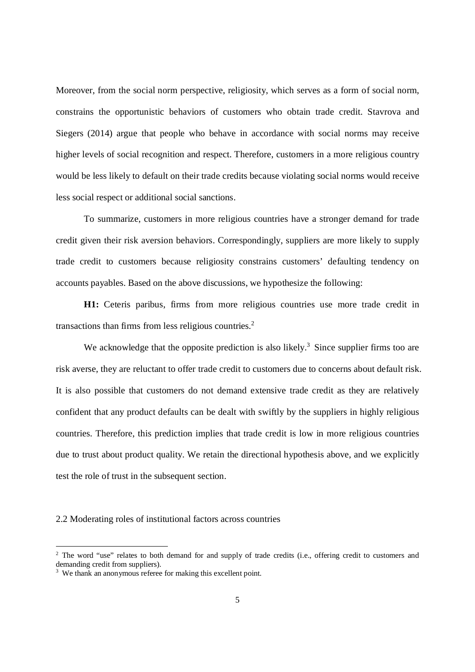Moreover, from the social norm perspective, religiosity, which serves as a form of social norm, constrains the opportunistic behaviors of customers who obtain trade credit. Stavrova and Siegers (2014) argue that people who behave in accordance with social norms may receive higher levels of social recognition and respect. Therefore, customers in a more religious country would be less likely to default on their trade credits because violating social norms would receive less social respect or additional social sanctions.

To summarize, customers in more religious countries have a stronger demand for trade credit given their risk aversion behaviors. Correspondingly, suppliers are more likely to supply trade credit to customers because religiosity constrains customers' defaulting tendency on accounts payables. Based on the above discussions, we hypothesize the following:

**H1:** Ceteris paribus, firms from more religious countries use more trade credit in transactions than firms from less religious countries.<sup>2</sup>

We acknowledge that the opposite prediction is also likely.<sup>3</sup> Since supplier firms too are risk averse, they are reluctant to offer trade credit to customers due to concerns about default risk. It is also possible that customers do not demand extensive trade credit as they are relatively confident that any product defaults can be dealt with swiftly by the suppliers in highly religious countries. Therefore, this prediction implies that trade credit is low in more religious countries due to trust about product quality. We retain the directional hypothesis above, and we explicitly test the role of trust in the subsequent section.

2.2 Moderating roles of institutional factors across countries

<sup>&</sup>lt;sup>2</sup> The word "use" relates to both demand for and supply of trade credits (i.e., offering credit to customers and demanding credit from suppliers).

<sup>&</sup>lt;sup>3</sup> We thank an anonymous referee for making this excellent point.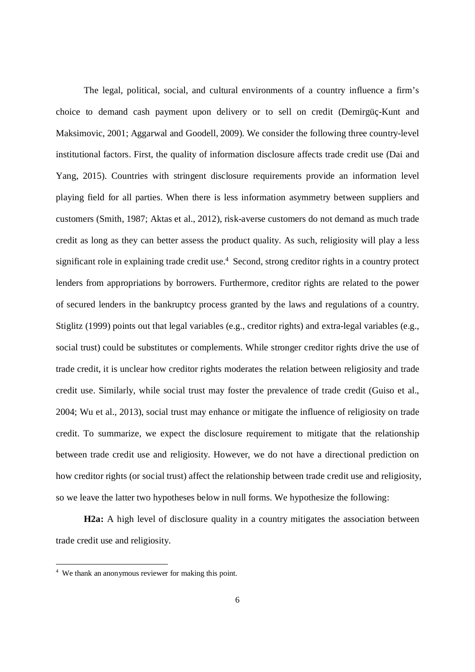The legal, political, social, and cultural environments of a country influence a firm's choice to demand cash payment upon delivery or to sell on credit (Demirgüç-Kunt and Maksimovic, 2001; Aggarwal and Goodell, 2009). We consider the following three country-level institutional factors. First, the quality of information disclosure affects trade credit use (Dai and Yang, 2015). Countries with stringent disclosure requirements provide an information level playing field for all parties. When there is less information asymmetry between suppliers and customers (Smith, 1987; Aktas et al., 2012), risk-averse customers do not demand as much trade credit as long as they can better assess the product quality. As such, religiosity will play a less significant role in explaining trade credit use.<sup>4</sup> Second, strong creditor rights in a country protect lenders from appropriations by borrowers. Furthermore, creditor rights are related to the power of secured lenders in the bankruptcy process granted by the laws and regulations of a country. Stiglitz (1999) points out that legal variables (e.g., creditor rights) and extra-legal variables (e.g., social trust) could be substitutes or complements. While stronger creditor rights drive the use of trade credit, it is unclear how creditor rights moderates the relation between religiosity and trade credit use. Similarly, while social trust may foster the prevalence of trade credit (Guiso et al., 2004; Wu et al., 2013), social trust may enhance or mitigate the influence of religiosity on trade credit. To summarize, we expect the disclosure requirement to mitigate that the relationship between trade credit use and religiosity. However, we do not have a directional prediction on how creditor rights (or social trust) affect the relationship between trade credit use and religiosity, so we leave the latter two hypotheses below in null forms. We hypothesize the following:

**H2a:** A high level of disclosure quality in a country mitigates the association between trade credit use and religiosity.

<sup>&</sup>lt;sup>4</sup> We thank an anonymous reviewer for making this point.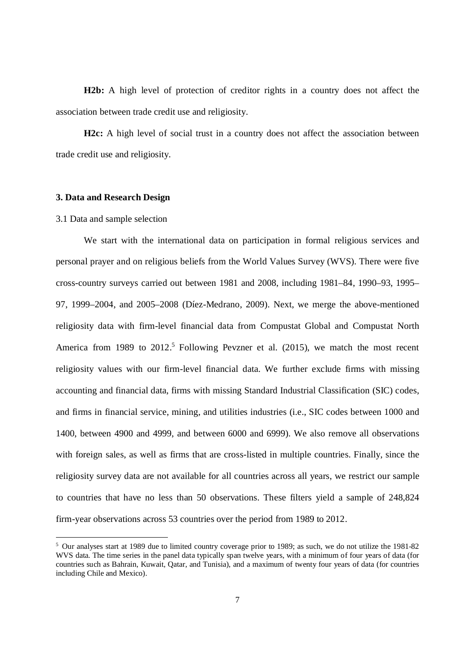**H2b:** A high level of protection of creditor rights in a country does not affect the association between trade credit use and religiosity.

**H2c:** A high level of social trust in a country does not affect the association between trade credit use and religiosity.

### **3. Data and Research Design**

#### 3.1 Data and sample selection

We start with the international data on participation in formal religious services and personal prayer and on religious beliefs from the World Values Survey (WVS). There were five cross-country surveys carried out between 1981 and 2008, including 1981–84, 1990–93, 1995– 97, 1999–2004, and 2005–2008 (Díez-Medrano, 2009). Next, we merge the above-mentioned religiosity data with firm-level financial data from Compustat Global and Compustat North America from 1989 to  $2012<sup>5</sup>$  Following Pevzner et al. (2015), we match the most recent religiosity values with our firm-level financial data. We further exclude firms with missing accounting and financial data, firms with missing Standard Industrial Classification (SIC) codes, and firms in financial service, mining, and utilities industries (i.e., SIC codes between 1000 and 1400, between 4900 and 4999, and between 6000 and 6999). We also remove all observations with foreign sales, as well as firms that are cross-listed in multiple countries. Finally, since the religiosity survey data are not available for all countries across all years, we restrict our sample to countries that have no less than 50 observations. These filters yield a sample of 248,824 firm-year observations across 53 countries over the period from 1989 to 2012.

<sup>&</sup>lt;sup>5</sup> Our analyses start at 1989 due to limited country coverage prior to 1989; as such, we do not utilize the 1981-82 WVS data. The time series in the panel data typically span twelve years, with a minimum of four years of data (for countries such as Bahrain, Kuwait, Qatar, and Tunisia), and a maximum of twenty four years of data (for countries including Chile and Mexico).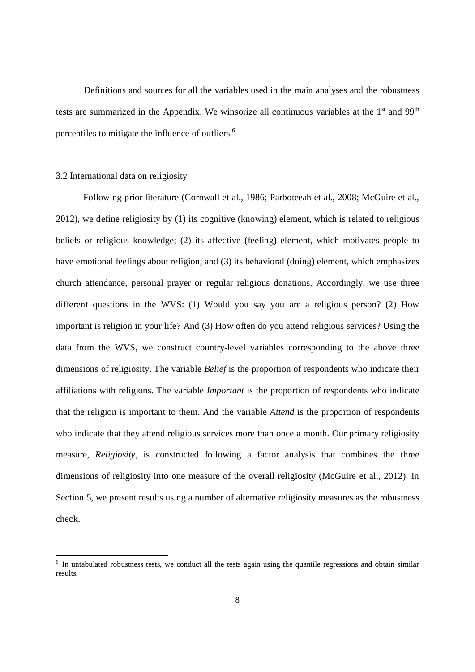Definitions and sources for all the variables used in the main analyses and the robustness tests are summarized in the Appendix. We winsorize all continuous variables at the  $1<sup>st</sup>$  and  $99<sup>th</sup>$ percentiles to mitigate the influence of outliers.<sup>6</sup>

### 3.2 International data on religiosity

Following prior literature (Cornwall et al., 1986; Parboteeah et al., 2008; McGuire et al., 2012), we define religiosity by (1) its cognitive (knowing) element, which is related to religious beliefs or religious knowledge; (2) its affective (feeling) element, which motivates people to have emotional feelings about religion; and (3) its behavioral (doing) element, which emphasizes church attendance, personal prayer or regular religious donations. Accordingly, we use three different questions in the WVS: (1) Would you say you are a religious person? (2) How important is religion in your life? And (3) How often do you attend religious services? Using the data from the WVS, we construct country-level variables corresponding to the above three dimensions of religiosity. The variable *Belief* is the proportion of respondents who indicate their affiliations with religions. The variable *Important* is the proportion of respondents who indicate that the religion is important to them. And the variable *Attend* is the proportion of respondents who indicate that they attend religious services more than once a month. Our primary religiosity measure, *Religiosity*, is constructed following a factor analysis that combines the three dimensions of religiosity into one measure of the overall religiosity (McGuire et al., 2012). In Section 5, we present results using a number of alternative religiosity measures as the robustness check.

<sup>&</sup>lt;sup>6</sup> In untabulated robustness tests, we conduct all the tests again using the quantile regressions and obtain similar results.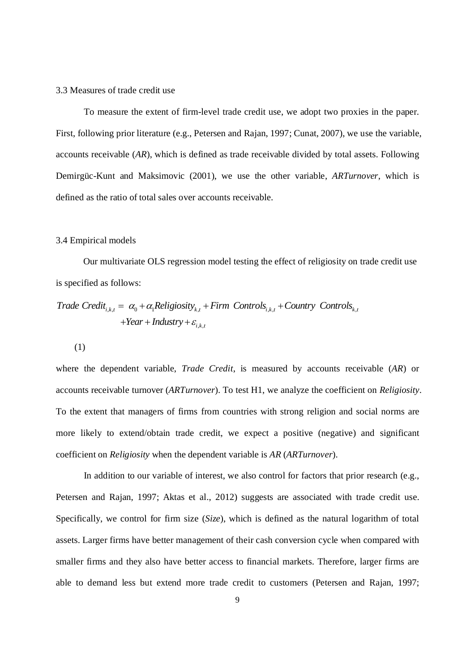### 3.3 Measures of trade credit use

To measure the extent of firm-level trade credit use, we adopt two proxies in the paper. First, following prior literature (e.g., Petersen and Rajan, 1997; Cunat, 2007), we use the variable, accounts receivable (*AR*), which is defined as trade receivable divided by total assets. Following Demirgüc-Kunt and Maksimovic (2001), we use the other variable, *ARTurnover*, which is defined as the ratio of total sales over accounts receivable.

### 3.4 Empirical models

Our multivariate OLS regression model testing the effect of religiosity on trade credit use is specified as follows:

$$
Trade Credit_{i,k,t} = \alpha_0 + \alpha_1 Religiosity_{k,t} + Firm\, controls_{i,k,t} + Country\, Controls_{k,t} + Year + Industry + \varepsilon_{i,k,t}
$$

(1)

where the dependent variable, *Trade Credit*, is measured by accounts receivable (*AR*) or accounts receivable turnover (*ARTurnover*). To test H1, we analyze the coefficient on *Religiosity*. To the extent that managers of firms from countries with strong religion and social norms are more likely to extend/obtain trade credit, we expect a positive (negative) and significant coefficient on *Religiosity* when the dependent variable is *AR* (*ARTurnover*).

In addition to our variable of interest, we also control for factors that prior research (e.g., Petersen and Rajan, 1997; Aktas et al., 2012) suggests are associated with trade credit use. Specifically, we control for firm size (*Size*), which is defined as the natural logarithm of total assets. Larger firms have better management of their cash conversion cycle when compared with smaller firms and they also have better access to financial markets. Therefore, larger firms are able to demand less but extend more trade credit to customers (Petersen and Rajan, 1997;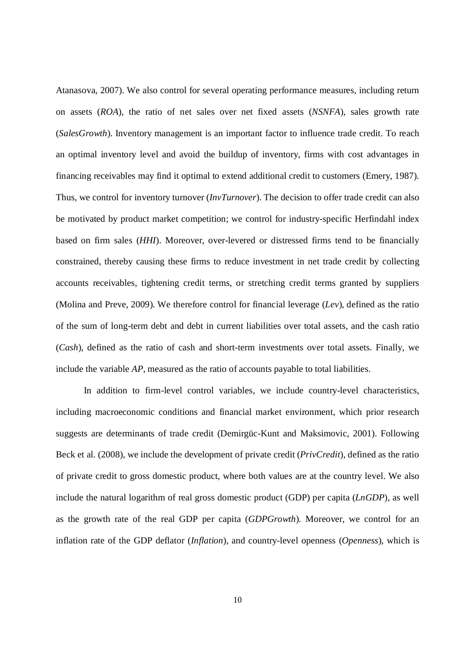Atanasova, 2007). We also control for several operating performance measures, including return on assets (*ROA*), the ratio of net sales over net fixed assets (*NSNFA*), sales growth rate (*SalesGrowth*). Inventory management is an important factor to influence trade credit. To reach an optimal inventory level and avoid the buildup of inventory, firms with cost advantages in financing receivables may find it optimal to extend additional credit to customers (Emery, 1987). Thus, we control for inventory turnover (*InvTurnover*). The decision to offer trade credit can also be motivated by product market competition; we control for industry-specific Herfindahl index based on firm sales (*HHI*). Moreover, over-levered or distressed firms tend to be financially constrained, thereby causing these firms to reduce investment in net trade credit by collecting accounts receivables, tightening credit terms, or stretching credit terms granted by suppliers (Molina and Preve, 2009). We therefore control for financial leverage (*Lev*), defined as the ratio of the sum of long-term debt and debt in current liabilities over total assets, and the cash ratio (*Cash*), defined as the ratio of cash and short-term investments over total assets. Finally, we include the variable *AP*, measured as the ratio of accounts payable to total liabilities.

In addition to firm-level control variables, we include country-level characteristics, including macroeconomic conditions and financial market environment, which prior research suggests are determinants of trade credit (Demirgüc-Kunt and Maksimovic, 2001). Following Beck et al. (2008), we include the development of private credit (*PrivCredit*), defined as the ratio of private credit to gross domestic product, where both values are at the country level. We also include the natural logarithm of real gross domestic product (GDP) per capita (*LnGDP*), as well as the growth rate of the real GDP per capita (*GDPGrowth*). Moreover, we control for an inflation rate of the GDP deflator (*Inflation*), and country-level openness (*Openness*), which is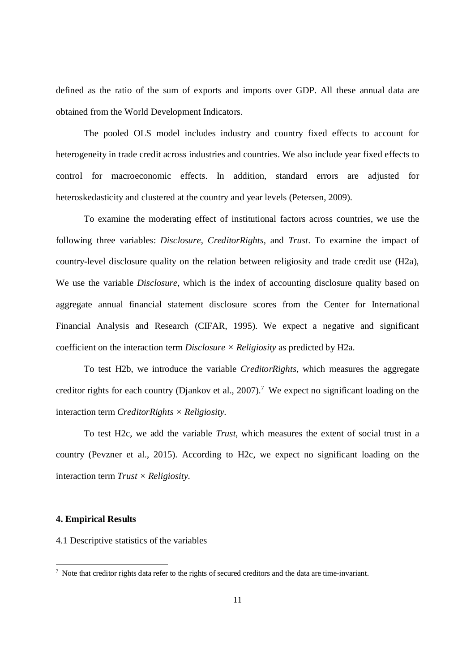defined as the ratio of the sum of exports and imports over GDP. All these annual data are obtained from the World Development Indicators.

The pooled OLS model includes industry and country fixed effects to account for heterogeneity in trade credit across industries and countries. We also include year fixed effects to control for macroeconomic effects. In addition, standard errors are adjusted for heteroskedasticity and clustered at the country and year levels (Petersen, 2009).

To examine the moderating effect of institutional factors across countries, we use the following three variables: *Disclosure*, *CreditorRights,* and *Trust*. To examine the impact of country-level disclosure quality on the relation between religiosity and trade credit use (H2a), We use the variable *Disclosure*, which is the index of accounting disclosure quality based on aggregate annual financial statement disclosure scores from the Center for International Financial Analysis and Research (CIFAR, 1995). We expect a negative and significant coefficient on the interaction term *Disclosure × Religiosity* as predicted by H2a*.*

To test H2b, we introduce the variable *CreditorRights*, which measures the aggregate creditor rights for each country (Djankov et al., 2007).<sup>7</sup> We expect no significant loading on the interaction term *CreditorRights × Religiosity.*

To test H2c, we add the variable *Trust*, which measures the extent of social trust in a country (Pevzner et al., 2015). According to H2c, we expect no significant loading on the interaction term *Trust × Religiosity.*

### **4. Empirical Results**

4.1 Descriptive statistics of the variables

 $<sup>7</sup>$  Note that creditor rights data refer to the rights of secured creditors and the data are time-invariant.</sup>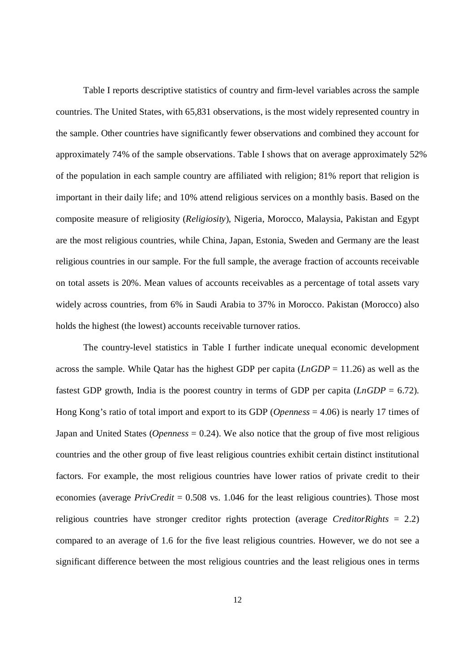Table I reports descriptive statistics of country and firm-level variables across the sample countries. The United States, with 65,831 observations, is the most widely represented country in the sample. Other countries have significantly fewer observations and combined they account for approximately 74% of the sample observations. Table I shows that on average approximately 52% of the population in each sample country are affiliated with religion; 81% report that religion is important in their daily life; and 10% attend religious services on a monthly basis. Based on the composite measure of religiosity (*Religiosity*), Nigeria, Morocco, Malaysia, Pakistan and Egypt are the most religious countries, while China, Japan, Estonia, Sweden and Germany are the least religious countries in our sample. For the full sample, the average fraction of accounts receivable on total assets is 20%. Mean values of accounts receivables as a percentage of total assets vary widely across countries, from 6% in Saudi Arabia to 37% in Morocco. Pakistan (Morocco) also holds the highest (the lowest) accounts receivable turnover ratios.

The country-level statistics in Table I further indicate unequal economic development across the sample. While Qatar has the highest GDP per capita (*LnGDP* = 11.26) as well as the fastest GDP growth, India is the poorest country in terms of GDP per capita  $(LnGDP = 6.72)$ . Hong Kong's ratio of total import and export to its GDP (*Openness* = 4.06) is nearly 17 times of Japan and United States (*Openness* = 0.24). We also notice that the group of five most religious countries and the other group of five least religious countries exhibit certain distinct institutional factors. For example, the most religious countries have lower ratios of private credit to their economies (average *PrivCredit* = 0.508 vs. 1.046 for the least religious countries). Those most religious countries have stronger creditor rights protection (average *CreditorRights* = 2.2) compared to an average of 1.6 for the five least religious countries. However, we do not see a significant difference between the most religious countries and the least religious ones in terms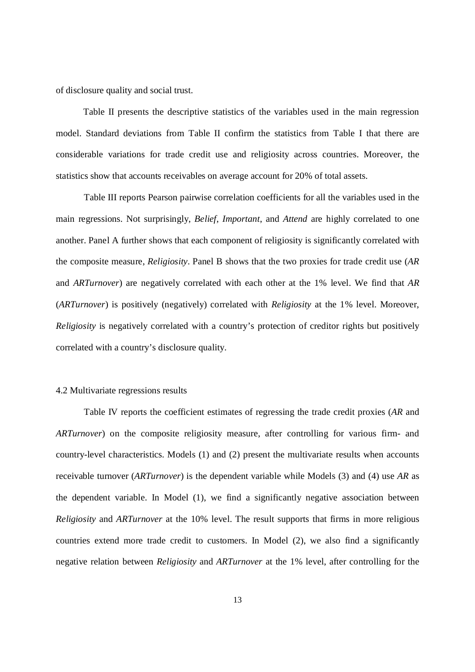of disclosure quality and social trust.

Table II presents the descriptive statistics of the variables used in the main regression model. Standard deviations from Table II confirm the statistics from Table I that there are considerable variations for trade credit use and religiosity across countries. Moreover, the statistics show that accounts receivables on average account for 20% of total assets.

Table III reports Pearson pairwise correlation coefficients for all the variables used in the main regressions. Not surprisingly, *Belief*, *Important*, and *Attend* are highly correlated to one another. Panel A further shows that each component of religiosity is significantly correlated with the composite measure, *Religiosity*. Panel B shows that the two proxies for trade credit use (*AR* and *ARTurnover*) are negatively correlated with each other at the 1% level. We find that *AR* (*ARTurnover*) is positively (negatively) correlated with *Religiosity* at the 1% level. Moreover, *Religiosity* is negatively correlated with a country's protection of creditor rights but positively correlated with a country's disclosure quality.

### 4.2 Multivariate regressions results

Table IV reports the coefficient estimates of regressing the trade credit proxies (*AR* and *ARTurnover*) on the composite religiosity measure, after controlling for various firm- and country-level characteristics. Models (1) and (2) present the multivariate results when accounts receivable turnover (*ARTurnover*) is the dependent variable while Models (3) and (4) use *AR* as the dependent variable. In Model (1), we find a significantly negative association between *Religiosity* and *ARTurnover* at the 10% level. The result supports that firms in more religious countries extend more trade credit to customers. In Model (2), we also find a significantly negative relation between *Religiosity* and *ARTurnover* at the 1% level, after controlling for the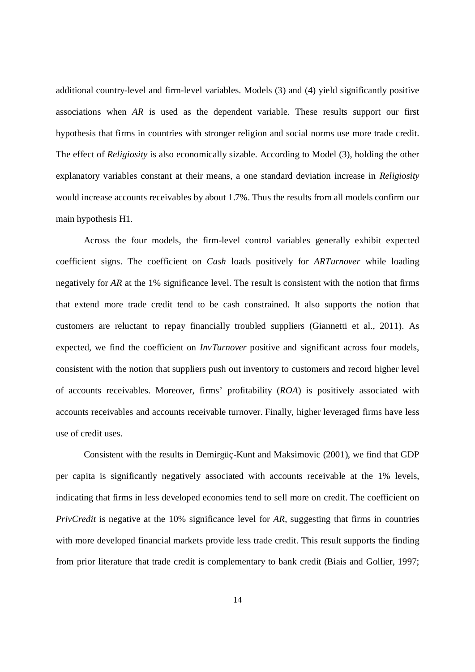additional country-level and firm-level variables. Models (3) and (4) yield significantly positive associations when *AR* is used as the dependent variable. These results support our first hypothesis that firms in countries with stronger religion and social norms use more trade credit. The effect of *Religiosity* is also economically sizable. According to Model (3), holding the other explanatory variables constant at their means, a one standard deviation increase in *Religiosity* would increase accounts receivables by about 1.7%. Thus the results from all models confirm our main hypothesis H1.

Across the four models, the firm-level control variables generally exhibit expected coefficient signs. The coefficient on *Cash* loads positively for *ARTurnover* while loading negatively for *AR* at the 1% significance level. The result is consistent with the notion that firms that extend more trade credit tend to be cash constrained. It also supports the notion that customers are reluctant to repay financially troubled suppliers (Giannetti et al., 2011). As expected, we find the coefficient on *InvTurnover* positive and significant across four models, consistent with the notion that suppliers push out inventory to customers and record higher level of accounts receivables. Moreover, firms' profitability (*ROA*) is positively associated with accounts receivables and accounts receivable turnover. Finally, higher leveraged firms have less use of credit uses.

Consistent with the results in Demirgüç-Kunt and Maksimovic (2001), we find that GDP per capita is significantly negatively associated with accounts receivable at the 1% levels, indicating that firms in less developed economies tend to sell more on credit. The coefficient on *PrivCredit* is negative at the 10% significance level for *AR*, suggesting that firms in countries with more developed financial markets provide less trade credit. This result supports the finding from prior literature that trade credit is complementary to bank credit (Biais and Gollier, 1997;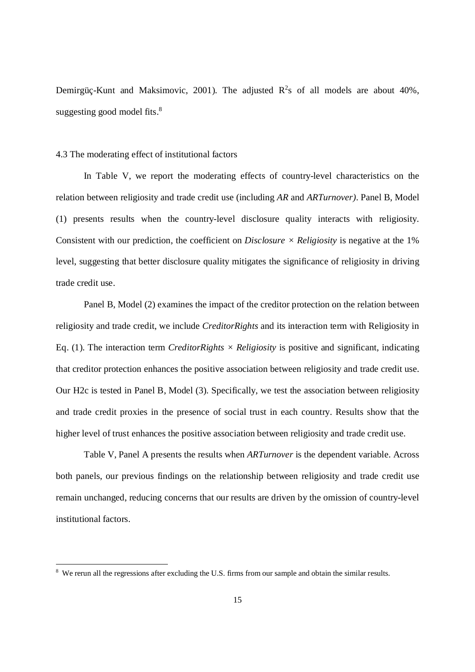Demirgüç-Kunt and Maksimovic, 2001). The adjusted  $R^2$ s of all models are about 40%, suggesting good model fits. $8<sup>8</sup>$ 

### 4.3 The moderating effect of institutional factors

In Table V, we report the moderating effects of country-level characteristics on the relation between religiosity and trade credit use (including *AR* and *ARTurnover)*. Panel B, Model (1) presents results when the country-level disclosure quality interacts with religiosity. Consistent with our prediction, the coefficient on *Disclosure*  $\times$  *Religiosity* is negative at the 1% level, suggesting that better disclosure quality mitigates the significance of religiosity in driving trade credit use.

Panel B, Model (2) examines the impact of the creditor protection on the relation between religiosity and trade credit, we include *CreditorRights* and its interaction term with Religiosity in Eq. (1). The interaction term *CreditorRights*  $\times$  *Religiosity* is positive and significant, indicating that creditor protection enhances the positive association between religiosity and trade credit use. Our H2c is tested in Panel B, Model (3). Specifically, we test the association between religiosity and trade credit proxies in the presence of social trust in each country. Results show that the higher level of trust enhances the positive association between religiosity and trade credit use.

Table V, Panel A presents the results when *ARTurnover* is the dependent variable. Across both panels, our previous findings on the relationship between religiosity and trade credit use remain unchanged, reducing concerns that our results are driven by the omission of country-level institutional factors.

<sup>&</sup>lt;sup>8</sup> We rerun all the regressions after excluding the U.S. firms from our sample and obtain the similar results.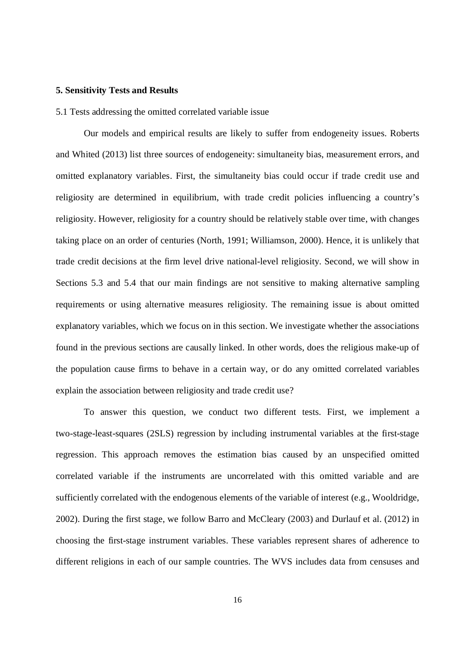#### **5. Sensitivity Tests and Results**

5.1 Tests addressing the omitted correlated variable issue

Our models and empirical results are likely to suffer from endogeneity issues. Roberts and Whited (2013) list three sources of endogeneity: simultaneity bias, measurement errors, and omitted explanatory variables. First, the simultaneity bias could occur if trade credit use and religiosity are determined in equilibrium, with trade credit policies influencing a country's religiosity. However, religiosity for a country should be relatively stable over time, with changes taking place on an order of centuries (North, 1991; Williamson, 2000). Hence, it is unlikely that trade credit decisions at the firm level drive national-level religiosity. Second, we will show in Sections 5.3 and 5.4 that our main findings are not sensitive to making alternative sampling requirements or using alternative measures religiosity. The remaining issue is about omitted explanatory variables, which we focus on in this section. We investigate whether the associations found in the previous sections are causally linked. In other words, does the religious make-up of the population cause firms to behave in a certain way, or do any omitted correlated variables explain the association between religiosity and trade credit use?

To answer this question, we conduct two different tests. First, we implement a two-stage-least-squares (2SLS) regression by including instrumental variables at the first-stage regression. This approach removes the estimation bias caused by an unspecified omitted correlated variable if the instruments are uncorrelated with this omitted variable and are sufficiently correlated with the endogenous elements of the variable of interest (e.g., Wooldridge, 2002). During the first stage, we follow Barro and McCleary (2003) and Durlauf et al. (2012) in choosing the first-stage instrument variables. These variables represent shares of adherence to different religions in each of our sample countries. The WVS includes data from censuses and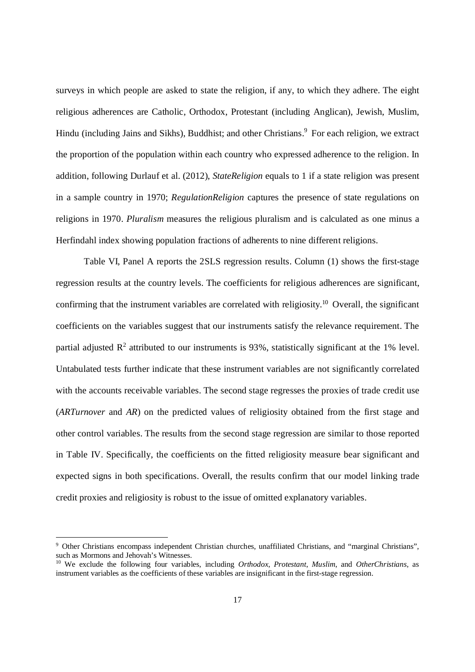surveys in which people are asked to state the religion, if any, to which they adhere. The eight religious adherences are Catholic, Orthodox, Protestant (including Anglican), Jewish, Muslim, Hindu (including Jains and Sikhs), Buddhist; and other Christians.<sup>9</sup> For each religion, we extract the proportion of the population within each country who expressed adherence to the religion. In addition, following Durlauf et al. (2012), *StateReligion* equals to 1 if a state religion was present in a sample country in 1970; *RegulationReligion* captures the presence of state regulations on religions in 1970. *Pluralism* measures the religious pluralism and is calculated as one minus a Herfindahl index showing population fractions of adherents to nine different religions.

Table VI, Panel A reports the 2SLS regression results. Column (1) shows the first-stage regression results at the country levels. The coefficients for religious adherences are significant, confirming that the instrument variables are correlated with religiosity.<sup>10</sup> Overall, the significant coefficients on the variables suggest that our instruments satisfy the relevance requirement. The partial adjusted  $\mathbb{R}^2$  attributed to our instruments is 93%, statistically significant at the 1% level. Untabulated tests further indicate that these instrument variables are not significantly correlated with the accounts receivable variables. The second stage regresses the proxies of trade credit use (*ARTurnover* and *AR*) on the predicted values of religiosity obtained from the first stage and other control variables. The results from the second stage regression are similar to those reported in Table IV. Specifically, the coefficients on the fitted religiosity measure bear significant and expected signs in both specifications. Overall, the results confirm that our model linking trade credit proxies and religiosity is robust to the issue of omitted explanatory variables.

<sup>&</sup>lt;sup>9</sup> Other Christians encompass independent Christian churches, unaffiliated Christians, and "marginal Christians", such as Mormons and Jehovah's Witnesses.

<sup>10</sup> We exclude the following four variables, including *Orthodox*, *Protestant*, *Muslim*, and *OtherChristians*, as instrument variables as the coefficients of these variables are insignificant in the first-stage regression.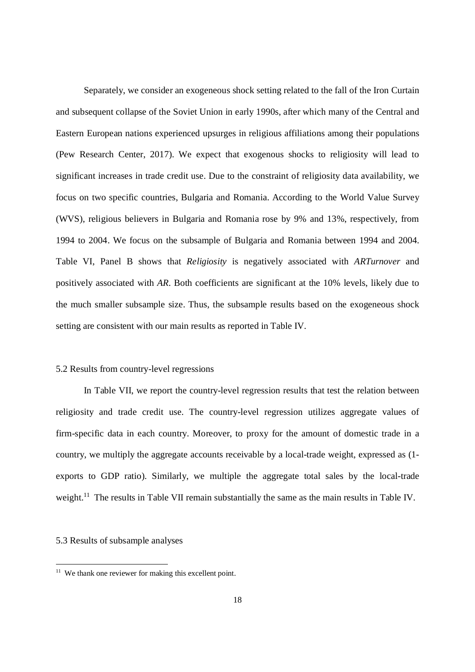Separately, we consider an exogeneous shock setting related to the fall of the Iron Curtain and subsequent collapse of the Soviet Union in early 1990s, after which many of the Central and Eastern European nations experienced upsurges in religious affiliations among their populations (Pew Research Center, 2017). We expect that exogenous shocks to religiosity will lead to significant increases in trade credit use. Due to the constraint of religiosity data availability, we focus on two specific countries, Bulgaria and Romania. According to the World Value Survey (WVS), religious believers in Bulgaria and Romania rose by 9% and 13%, respectively, from 1994 to 2004. We focus on the subsample of Bulgaria and Romania between 1994 and 2004. Table VI, Panel B shows that *Religiosity* is negatively associated with *ARTurnover* and positively associated with *AR*. Both coefficients are significant at the 10% levels, likely due to the much smaller subsample size. Thus, the subsample results based on the exogeneous shock setting are consistent with our main results as reported in Table IV.

### 5.2 Results from country-level regressions

In Table VII, we report the country-level regression results that test the relation between religiosity and trade credit use. The country-level regression utilizes aggregate values of firm-specific data in each country. Moreover, to proxy for the amount of domestic trade in a country, we multiply the aggregate accounts receivable by a local-trade weight, expressed as (1 exports to GDP ratio). Similarly, we multiple the aggregate total sales by the local-trade weight.<sup>11</sup> The results in Table VII remain substantially the same as the main results in Table IV.

### 5.3 Results of subsample analyses

<sup>&</sup>lt;sup>11</sup> We thank one reviewer for making this excellent point.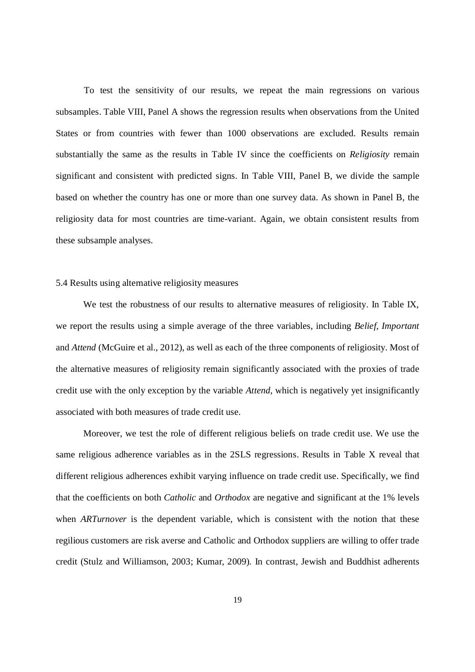To test the sensitivity of our results, we repeat the main regressions on various subsamples. Table VIII, Panel A shows the regression results when observations from the United States or from countries with fewer than 1000 observations are excluded. Results remain substantially the same as the results in Table IV since the coefficients on *Religiosity* remain significant and consistent with predicted signs. In Table VIII, Panel B, we divide the sample based on whether the country has one or more than one survey data. As shown in Panel B, the religiosity data for most countries are time-variant. Again, we obtain consistent results from these subsample analyses.

### 5.4 Results using alternative religiosity measures

We test the robustness of our results to alternative measures of religiosity. In Table IX, we report the results using a simple average of the three variables, including *Belief*, *Important* and *Attend* (McGuire et al., 2012), as well as each of the three components of religiosity. Most of the alternative measures of religiosity remain significantly associated with the proxies of trade credit use with the only exception by the variable *Attend*, which is negatively yet insignificantly associated with both measures of trade credit use.

Moreover, we test the role of different religious beliefs on trade credit use. We use the same religious adherence variables as in the 2SLS regressions. Results in Table X reveal that different religious adherences exhibit varying influence on trade credit use. Specifically, we find that the coefficients on both *Catholic* and *Orthodox* are negative and significant at the 1% levels when *ARTurnover* is the dependent variable, which is consistent with the notion that these regilious customers are risk averse and Catholic and Orthodox suppliers are willing to offer trade credit (Stulz and Williamson, 2003; Kumar, 2009). In contrast, Jewish and Buddhist adherents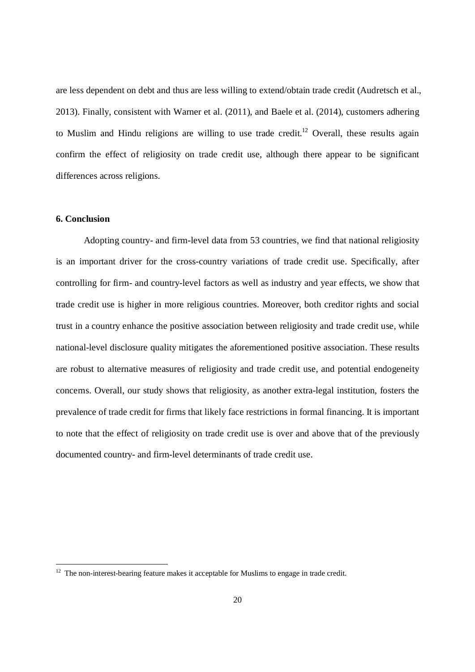are less dependent on debt and thus are less willing to extend/obtain trade credit (Audretsch et al., 2013). Finally, consistent with Warner et al. (2011), and Baele et al. (2014), customers adhering to Muslim and Hindu religions are willing to use trade credit.<sup>12</sup> Overall, these results again confirm the effect of religiosity on trade credit use, although there appear to be significant differences across religions.

## **6. Conclusion**

Adopting country- and firm-level data from 53 countries, we find that national religiosity is an important driver for the cross-country variations of trade credit use. Specifically, after controlling for firm- and country-level factors as well as industry and year effects, we show that trade credit use is higher in more religious countries. Moreover, both creditor rights and social trust in a country enhance the positive association between religiosity and trade credit use, while national-level disclosure quality mitigates the aforementioned positive association. These results are robust to alternative measures of religiosity and trade credit use, and potential endogeneity concerns. Overall, our study shows that religiosity, as another extra-legal institution, fosters the prevalence of trade credit for firms that likely face restrictions in formal financing. It is important to note that the effect of religiosity on trade credit use is over and above that of the previously documented country- and firm-level determinants of trade credit use.

 $12$  The non-interest-bearing feature makes it acceptable for Muslims to engage in trade credit.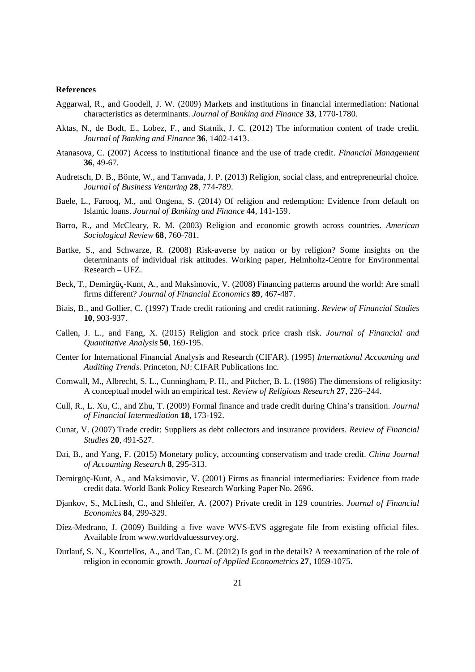#### **References**

- Aggarwal, R., and Goodell, J. W. (2009) Markets and institutions in financial intermediation: National characteristics as determinants. *Journal of Banking and Finance* **33**, 1770-1780.
- Aktas, N., de Bodt, E., Lobez, F., and Statnik, J. C. (2012) The information content of trade credit. *Journal of Banking and Finance* **36**, 1402-1413.
- Atanasova, C. (2007) Access to institutional finance and the use of trade credit. *Financial Management* **36**, 49-67.
- Audretsch, D. B., Bönte, W., and Tamvada, J. P. (2013) Religion, social class, and entrepreneurial choice. *Journal of Business Venturing* **28**, 774-789.
- Baele, L., Farooq, M., and Ongena, S. (2014) Of religion and redemption: Evidence from default on Islamic loans. *Journal of Banking and Finance* **44**, 141-159.
- Barro, R., and McCleary, R. M. (2003) Religion and economic growth across countries. *American Sociological Review* **68**, 760-781.
- Bartke, S., and Schwarze, R. (2008) Risk-averse by nation or by religion? Some insights on the determinants of individual risk attitudes. Working paper, Helmholtz-Centre for Environmental Research – UFZ.
- Beck, T., Demirgüç-Kunt, A., and Maksimovic, V. (2008) Financing patterns around the world: Are small firms different? *Journal of Financial Economics* **89**, 467-487.
- Biais, B., and Gollier, C. (1997) Trade credit rationing and credit rationing. *Review of Financial Studies* **10**, 903-937.
- Callen, J. L., and Fang, X. (2015) Religion and stock price crash risk. *Journal of Financial and Quantitative Analysis* **50**, 169-195.
- Center for International Financial Analysis and Research (CIFAR). (1995) *International Accounting and Auditing Trends*. Princeton, NJ: CIFAR Publications Inc.
- Cornwall, M., Albrecht, S. L., Cunningham, P. H., and Pitcher, B. L. (1986) The dimensions of religiosity: A conceptual model with an empirical test. *Review of Religious Research* **27**, 226–244.
- Cull, R., L. Xu, C., and Zhu, T. (2009) Formal finance and trade credit during China's transition. *Journal of Financial Intermediation* **18**, 173-192.
- Cunat, V. (2007) Trade credit: Suppliers as debt collectors and insurance providers. *Review of Financial Studies* **20**, 491-527.
- Dai, B., and Yang, F. (2015) Monetary policy, accounting conservatism and trade credit. *China Journal of Accounting Research* **8**, 295-313.
- Demirgüç-Kunt, A., and Maksimovic, V. (2001) Firms as financial intermediaries: Evidence from trade credit data. World Bank Policy Research Working Paper No. 2696.
- Djankov, S., McLiesh, C., and Shleifer, A. (2007) Private credit in 129 countries. *Journal of Financial Economics* **84**, 299-329.
- Díez-Medrano, J. (2009) Building a five wave WVS-EVS aggregate file from existing official files. Available from www.worldvaluessurvey.org.
- Durlauf, S. N., Kourtellos, A., and Tan, C. M. (2012) Is god in the details? A reexamination of the role of religion in economic growth. *Journal of Applied Econometrics* **27**, 1059-1075.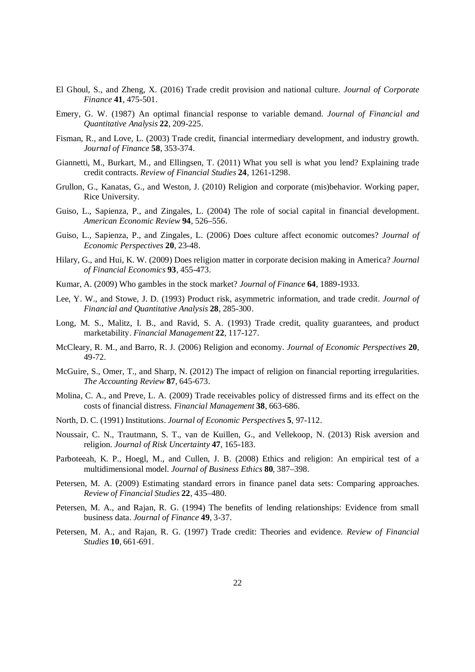- El Ghoul, S., and Zheng, X. (2016) Trade credit provision and national culture. *Journal of Corporate Finance* **41**, 475-501.
- Emery, G. W. (1987) An optimal financial response to variable demand. *Journal of Financial and Quantitative Analysis* **22**, 209-225.
- Fisman, R., and Love, L. (2003) Trade credit, financial intermediary development, and industry growth. *Journal of Finance* **58**, 353-374.
- Giannetti, M., Burkart, M., and Ellingsen, T. (2011) What you sell is what you lend? Explaining trade credit contracts. *Review of Financial Studies* **24**, 1261-1298.
- Grullon, G., Kanatas, G., and Weston, J. (2010) Religion and corporate (mis)behavior. Working paper, Rice University.
- Guiso, L., Sapienza, P., and Zingales, L. (2004) The role of social capital in financial development. *American Economic Review* **94**, 526–556.
- Guiso, L., Sapienza, P., and Zingales, L. (2006) Does culture affect economic outcomes? *Journal of Economic Perspectives* **20**, 23-48.
- Hilary, G., and Hui, K. W. (2009) Does religion matter in corporate decision making in America? *Journal of Financial Economics* **93**, 455-473.
- Kumar, A. (2009) Who gambles in the stock market? *Journal of Finance* **64**, 1889-1933.
- Lee, Y. W., and Stowe, J. D. (1993) Product risk, asymmetric information, and trade credit. *Journal of Financial and Quantitative Analysis* **28**, 285-300.
- Long, M. S., Malitz, I. B., and Ravid, S. A. (1993) Trade credit, quality guarantees, and product marketability. *Financial Management* **22**, 117-127.
- McCleary, R. M., and Barro, R. J. (2006) Religion and economy. *Journal of Economic Perspectives* **20**, 49-72.
- McGuire, S., Omer, T., and Sharp, N. (2012) The impact of religion on financial reporting irregularities. *The Accounting Review* **87**, 645-673.
- Molina, C. A., and Preve, L. A. (2009) Trade receivables policy of distressed firms and its effect on the costs of financial distress. *Financial Management* **38**, 663-686.
- North, D. C. (1991) Institutions. *Journal of Economic Perspectives* **5**, 97-112.
- Noussair, C. N., Trautmann, S. T., van de Kuillen, G., and Vellekoop, N. (2013) Risk aversion and religion. *Journal of Risk Uncertainty* **47**, 165-183.
- Parboteeah, K. P., Hoegl, M., and Cullen, J. B. (2008) Ethics and religion: An empirical test of a multidimensional model. *Journal of Business Ethics* **80**, 387–398.
- Petersen, M. A. (2009) Estimating standard errors in finance panel data sets: Comparing approaches. *Review of Financial Studies* **22**, 435–480.
- Petersen, M. A., and Rajan, R. G. (1994) The benefits of lending relationships: Evidence from small business data. *Journal of Finance* **49**, 3-37.
- Petersen, M. A., and Rajan, R. G. (1997) Trade credit: Theories and evidence. *Review of Financial Studies* **10**, 661-691.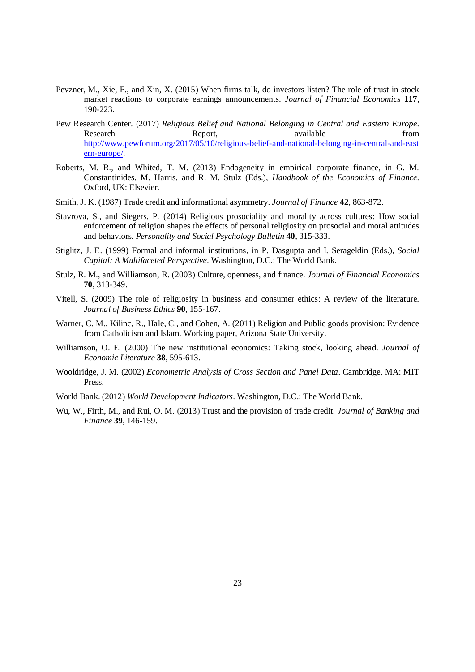- Pevzner, M., Xie, F., and Xin, X. (2015) When firms talk, do investors listen? The role of trust in stock market reactions to corporate earnings announcements. *Journal of Financial Economics* **117**, 190-223.
- Pew Research Center. (2017) *Religious Belief and National Belonging in Central and Eastern Europe*. Research Report, available from http://www.pewforum.org/2017/05/10/religious-belief-and-national-belonging-in-central-and-east ern-europe/.
- Roberts, M. R., and Whited, T. M. (2013) Endogeneity in empirical corporate finance, in G. M. Constantinides, M. Harris, and R. M. Stulz (Eds.), *Handbook of the Economics of Finance*. Oxford, UK: Elsevier.
- Smith, J. K. (1987) Trade credit and informational asymmetry. *Journal of Finance* **42**, 863-872.
- Stavrova, S., and Siegers, P. (2014) Religious prosociality and morality across cultures: How social enforcement of religion shapes the effects of personal religiosity on prosocial and moral attitudes and behaviors. *Personality and Social Psychology Bulletin* **40**, 315-333.
- Stiglitz, J. E. (1999) Formal and informal institutions, in P. Dasgupta and I. Serageldin (Eds.), *Social Capital: A Multifaceted Perspective*. Washington, D.C.: The World Bank.
- Stulz, R. M., and Williamson, R. (2003) Culture, openness, and finance. *Journal of Financial Economics* **70**, 313-349.
- Vitell, S. (2009) The role of religiosity in business and consumer ethics: A review of the literature. *Journal of Business Ethics* **90**, 155-167.
- Warner, C. M., Kilinc, R., Hale, C., and Cohen, A. (2011) Religion and Public goods provision: Evidence from Catholicism and Islam. Working paper, Arizona State University.
- Williamson, O. E. (2000) The new institutional economics: Taking stock, looking ahead. *Journal of Economic Literature* **38**, 595-613.
- Wooldridge, J. M. (2002) *Econometric Analysis of Cross Section and Panel Data*. Cambridge, MA: MIT Press.
- World Bank. (2012) *World Development Indicators*. Washington, D.C.: The World Bank.
- Wu, W., Firth, M., and Rui, O. M. (2013) Trust and the provision of trade credit. *Journal of Banking and Finance* **39**, 146-159.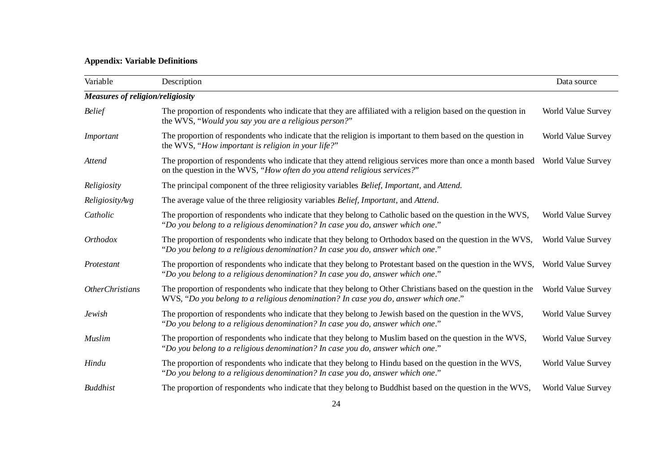# **Appendix: Variable Definitions**

| Variable                                | Description                                                                                                                                                                                                 | Data source        |
|-----------------------------------------|-------------------------------------------------------------------------------------------------------------------------------------------------------------------------------------------------------------|--------------------|
| <b>Measures of religion/religiosity</b> |                                                                                                                                                                                                             |                    |
| <b>Belief</b>                           | The proportion of respondents who indicate that they are affiliated with a religion based on the question in<br>the WVS, "Would you say you are a religious person?"                                        | World Value Survey |
| Important                               | The proportion of respondents who indicate that the religion is important to them based on the question in<br>the WVS, "How important is religion in your life?"                                            | World Value Survey |
| Attend                                  | The proportion of respondents who indicate that they attend religious services more than once a month based World Value Survey<br>on the question in the WVS, "How often do you attend religious services?" |                    |
| Religiosity                             | The principal component of the three religiosity variables <i>Belief</i> , <i>Important</i> , and <i>Attend</i> .                                                                                           |                    |
| ReligiosityAvg                          | The average value of the three religiosity variables Belief, Important, and Attend.                                                                                                                         |                    |
| Catholic                                | The proportion of respondents who indicate that they belong to Catholic based on the question in the WVS,<br>"Do you belong to a religious denomination? In case you do, answer which one."                 | World Value Survey |
| <b>Orthodox</b>                         | The proportion of respondents who indicate that they belong to Orthodox based on the question in the WVS,<br>"Do you belong to a religious denomination? In case you do, answer which one."                 | World Value Survey |
| Protestant                              | The proportion of respondents who indicate that they belong to Protestant based on the question in the WVS,<br>"Do you belong to a religious denomination? In case you do, answer which one."               | World Value Survey |
| <b>OtherChristians</b>                  | The proportion of respondents who indicate that they belong to Other Christians based on the question in the<br>".WVS, "Do you belong to a religious denomination? In case you do, answer which one."       | World Value Survey |
| <b>Jewish</b>                           | The proportion of respondents who indicate that they belong to Jewish based on the question in the WVS,<br>"Do you belong to a religious denomination? In case you do, answer which one."                   | World Value Survey |
| Muslim                                  | The proportion of respondents who indicate that they belong to Muslim based on the question in the WVS,<br>"Do you belong to a religious denomination? In case you do, answer which one."                   | World Value Survey |
| Hindu                                   | The proportion of respondents who indicate that they belong to Hindu based on the question in the WVS,<br>"Do you belong to a religious denomination? In case you do, answer which one."                    | World Value Survey |
| <b>Buddhist</b>                         | The proportion of respondents who indicate that they belong to Buddhist based on the question in the WVS,                                                                                                   | World Value Survey |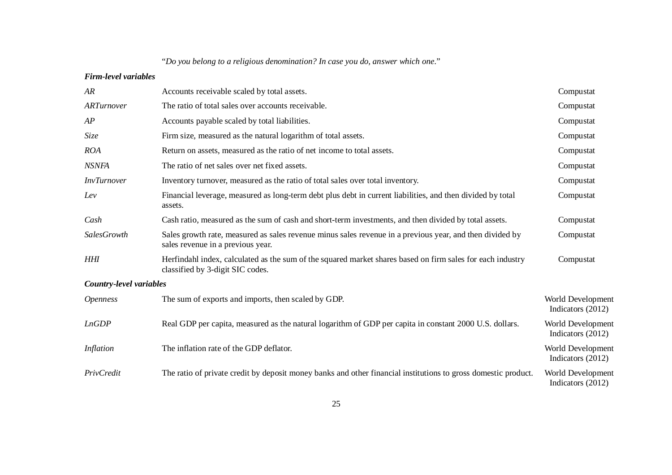"*Do you belong to a religious denomination? In case you do, answer which one*."

### *Firm-level variables*

| AR                      | Accounts receivable scaled by total assets.                                                                                                    | Compustat                              |
|-------------------------|------------------------------------------------------------------------------------------------------------------------------------------------|----------------------------------------|
| ARTurnover              | The ratio of total sales over accounts receivable.                                                                                             | Compustat                              |
| AP                      | Accounts payable scaled by total liabilities.                                                                                                  | Compustat                              |
| Size                    | Firm size, measured as the natural logarithm of total assets.                                                                                  | Compustat                              |
| <b>ROA</b>              | Return on assets, measured as the ratio of net income to total assets.                                                                         | Compustat                              |
| <b>NSNFA</b>            | The ratio of net sales over net fixed assets.                                                                                                  | Compustat                              |
| <b>InvTurnover</b>      | Inventory turnover, measured as the ratio of total sales over total inventory.                                                                 | Compustat                              |
| Lev                     | Financial leverage, measured as long-term debt plus debt in current liabilities, and then divided by total<br>assets.                          | Compustat                              |
| Cash                    | Cash ratio, measured as the sum of cash and short-term investments, and then divided by total assets.                                          | Compustat                              |
| SalesGrowth             | Sales growth rate, measured as sales revenue minus sales revenue in a previous year, and then divided by<br>sales revenue in a previous year.  | Compustat                              |
| HHI                     | Herfindahl index, calculated as the sum of the squared market shares based on firm sales for each industry<br>classified by 3-digit SIC codes. | Compustat                              |
| Country-level variables |                                                                                                                                                |                                        |
| <i><b>Openness</b></i>  | The sum of exports and imports, then scaled by GDP.                                                                                            | World Development<br>Indicators (2012) |
| LnGDP                   | Real GDP per capita, measured as the natural logarithm of GDP per capita in constant 2000 U.S. dollars.                                        | World Development<br>Indicators (2012) |
| Inflation               | The inflation rate of the GDP deflator.                                                                                                        | World Development<br>Indicators (2012) |
| PrivCredit              | The ratio of private credit by deposit money banks and other financial institutions to gross domestic product.                                 | World Development<br>Indicators (2012) |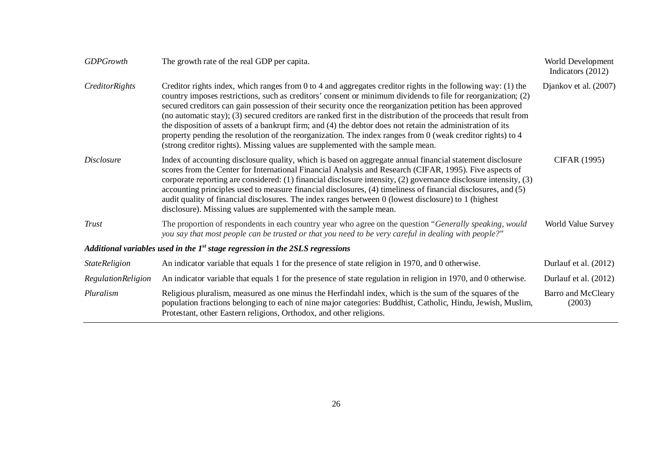| <b>GDPGrowth</b>     | The growth rate of the real GDP per capita.                                                                                                                                                                                                                                                                                                                                                                                                                                                                                                                                                                                                                                                                                                                                            | World Development<br>Indicators (2012) |
|----------------------|----------------------------------------------------------------------------------------------------------------------------------------------------------------------------------------------------------------------------------------------------------------------------------------------------------------------------------------------------------------------------------------------------------------------------------------------------------------------------------------------------------------------------------------------------------------------------------------------------------------------------------------------------------------------------------------------------------------------------------------------------------------------------------------|----------------------------------------|
| CreditorRights       | Creditor rights index, which ranges from $0$ to $4$ and aggregates creditor rights in the following way: (1) the<br>country imposes restrictions, such as creditors' consent or minimum dividends to file for reorganization; (2)<br>secured creditors can gain possession of their security once the reorganization petition has been approved<br>(no automatic stay); (3) secured creditors are ranked first in the distribution of the proceeds that result from<br>the disposition of assets of a bankrupt firm; and (4) the debtor does not retain the administration of its<br>property pending the resolution of the reorganization. The index ranges from $0$ (weak creditor rights) to $4$<br>(strong creditor rights). Missing values are supplemented with the sample mean. | Djankov et al. (2007)                  |
| <i>Disclosure</i>    | Index of accounting disclosure quality, which is based on aggregate annual financial statement disclosure<br>scores from the Center for International Financial Analysis and Research (CIFAR, 1995). Five aspects of<br>corporate reporting are considered: (1) financial disclosure intensity, (2) governance disclosure intensity, (3)<br>accounting principles used to measure financial disclosures, (4) timeliness of financial disclosures, and (5)<br>audit quality of financial disclosures. The index ranges between 0 (lowest disclosure) to 1 (highest<br>disclosure). Missing values are supplemented with the sample mean.                                                                                                                                                | CIFAR (1995)                           |
| <b>Trust</b>         | The proportion of respondents in each country year who agree on the question "Generally speaking, would<br>you say that most people can be trusted or that you need to be very careful in dealing with people?"                                                                                                                                                                                                                                                                                                                                                                                                                                                                                                                                                                        | World Value Survey                     |
|                      | Additional variables used in the $1st$ stage regression in the 2SLS regressions                                                                                                                                                                                                                                                                                                                                                                                                                                                                                                                                                                                                                                                                                                        |                                        |
| <b>StateReligion</b> | An indicator variable that equals 1 for the presence of state religion in 1970, and 0 otherwise.                                                                                                                                                                                                                                                                                                                                                                                                                                                                                                                                                                                                                                                                                       | Durlauf et al. (2012)                  |
| RegulationReligion   | An indicator variable that equals 1 for the presence of state regulation in religion in 1970, and 0 otherwise.                                                                                                                                                                                                                                                                                                                                                                                                                                                                                                                                                                                                                                                                         | Durlauf et al. (2012)                  |
| Pluralism            | Religious pluralism, measured as one minus the Herfindahl index, which is the sum of the squares of the<br>population fractions belonging to each of nine major categories: Buddhist, Catholic, Hindu, Jewish, Muslim,<br>Protestant, other Eastern religions, Orthodox, and other religions.                                                                                                                                                                                                                                                                                                                                                                                                                                                                                          | Barro and McCleary<br>(2003)           |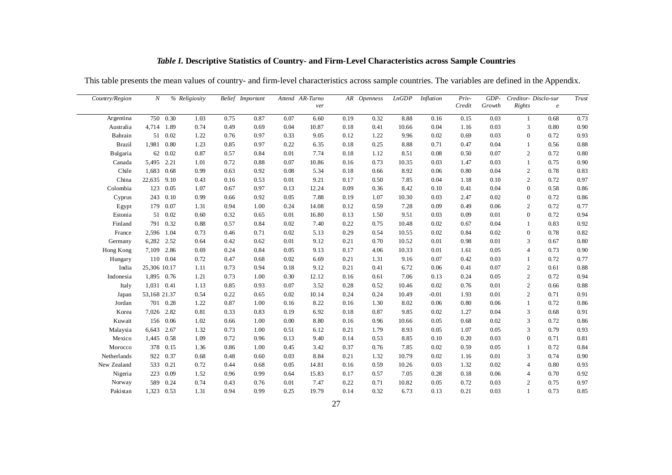| Country/Region | N            |          | % Religiosity |      | Belief Important |      | Attend AR-Turno<br>ver |      | AR Openness | LnGDP | <b>Inflation</b> | Priv-<br>Credit | $GDP-$<br>Growth | <b>Rights</b>    | Creditor-Disclo-sur<br>$\boldsymbol{e}$ | Trust    |
|----------------|--------------|----------|---------------|------|------------------|------|------------------------|------|-------------|-------|------------------|-----------------|------------------|------------------|-----------------------------------------|----------|
| Argentina      | 750          | 0.30     | 1.03          | 0.75 | 0.87             | 0.07 | 6.60                   | 0.19 | 0.32        | 8.88  | 0.16             | 0.15            | 0.03             | $\mathbf{1}$     | 0.68                                    | 0.73     |
| Australia      | 4,714        | 1.89     | 0.74          | 0.49 | 0.69             | 0.04 | 10.87                  | 0.18 | 0.41        | 10.66 | 0.04             | 1.16            | 0.03             | 3                | 0.80                                    | 0.90     |
| Bahrain        | 51           | 0.02     | 1.22          | 0.76 | 0.97             | 0.33 | 9.05                   | 0.12 | 1.22        | 9.96  | 0.02             | 0.69            | 0.03             | $\mathbf{0}$     | 0.72                                    | 0.93     |
| <b>Brazil</b>  | 1,981 0.80   |          | 1.23          | 0.85 | 0.97             | 0.22 | 6.35                   | 0.18 | 0.25        | 8.88  | 0.71             | 0.47            | 0.04             | -1               | 0.56                                    | 0.88     |
| Bulgaria       |              | 62 0.02  | 0.87          | 0.57 | 0.84             | 0.01 | 7.74                   | 0.18 | 1.12        | 8.51  | 0.08             | 0.50            | 0.07             | 2                | 0.72                                    | 0.80     |
| Canada         | 5,495 2.21   |          | 1.01          | 0.72 | 0.88             | 0.07 | 10.86                  | 0.16 | 0.73        | 10.35 | 0.03             | 1.47            | 0.03             | 1                | 0.75                                    | 0.90     |
| Chile          | 1,683        | 0.68     | 0.99          | 0.63 | 0.92             | 0.08 | 5.34                   | 0.18 | 0.66        | 8.92  | 0.06             | 0.80            | 0.04             | $\overline{c}$   | 0.78                                    | 0.83     |
| China          | 22,635       | 9.10     | 0.43          | 0.16 | 0.53             | 0.01 | 9.21                   | 0.17 | 0.50        | 7.85  | 0.04             | 1.18            | 0.10             | $\overline{c}$   | 0.72                                    | 0.97     |
| Colombia       | 123          | 0.05     | 1.07          | 0.67 | 0.97             | 0.13 | 12.24                  | 0.09 | 0.36        | 8.42  | 0.10             | 0.41            | 0.04             | $\boldsymbol{0}$ | 0.58                                    | 0.86     |
| Cyprus         | 243          | 0.10     | 0.99          | 0.66 | 0.92             | 0.05 | 7.88                   | 0.19 | 1.07        | 10.30 | 0.03             | 2.47            | 0.02             | $\boldsymbol{0}$ | 0.72                                    | $0.86\,$ |
| Egypt          | 179          | 0.07     | 1.31          | 0.94 | 1.00             | 0.24 | 14.08                  | 0.12 | 0.59        | 7.28  | 0.09             | 0.49            | 0.06             | 2                | 0.72                                    | 0.77     |
| Estonia        |              | 51 0.02  | 0.60          | 0.32 | 0.65             | 0.01 | 16.80                  | 0.13 | 1.50        | 9.51  | 0.03             | 0.09            | 0.01             | $\overline{0}$   | 0.72                                    | 0.94     |
| Finland        | 791          | 0.32     | 0.88          | 0.57 | 0.84             | 0.02 | 7.40                   | 0.22 | 0.75        | 10.48 | 0.02             | 0.67            | 0.04             | 1                | 0.83                                    | 0.92     |
| France         | 2,596 1.04   |          | 0.73          | 0.46 | 0.71             | 0.02 | 5.13                   | 0.29 | 0.54        | 10.55 | 0.02             | 0.84            | 0.02             | $\overline{0}$   | 0.78                                    | 0.82     |
| Germany        | 6,282        | 2.52     | 0.64          | 0.42 | 0.62             | 0.01 | 9.12                   | 0.21 | 0.70        | 10.52 | 0.01             | 0.98            | 0.01             | 3                | 0.67                                    | 0.80     |
| Hong Kong      | 7,109        | 2.86     | 0.69          | 0.24 | 0.84             | 0.05 | 9.13                   | 0.17 | 4.06        | 10.33 | 0.01             | 1.61            | 0.05             | 4                | 0.73                                    | 0.90     |
| Hungary        |              | 110 0.04 | 0.72          | 0.47 | 0.68             | 0.02 | 6.69                   | 0.21 | 1.31        | 9.16  | 0.07             | 0.42            | 0.03             | 1                | 0.72                                    | 0.77     |
| India          | 25,306 10.17 |          | 1.11          | 0.73 | 0.94             | 0.18 | 9.12                   | 0.21 | 0.41        | 6.72  | 0.06             | 0.41            | 0.07             | 2                | 0.61                                    | 0.88     |
| Indonesia      | 1,895 0.76   |          | 1.21          | 0.73 | 1.00             | 0.30 | 12.12                  | 0.16 | 0.61        | 7.06  | 0.13             | 0.24            | 0.05             | $\overline{c}$   | 0.72                                    | 0.94     |
| Italy          | 1,031 0.41   |          | 1.13          | 0.85 | 0.93             | 0.07 | 3.52                   | 0.28 | 0.52        | 10.46 | 0.02             | 0.76            | 0.01             | $\overline{2}$   | 0.66                                    | 0.88     |
| Japan          | 53,168 21.37 |          | 0.54          | 0.22 | 0.65             | 0.02 | 10.14                  | 0.24 | 0.24        | 10.49 | $-0.01$          | 1.93            | 0.01             | $\overline{c}$   | 0.71                                    | 0.91     |
| Jordan         |              | 701 0.28 | 1.22          | 0.87 | 1.00             | 0.16 | 8.22                   | 0.16 | 1.30        | 8.02  | 0.06             | 0.80            | 0.06             | 1                | 0.72                                    | 0.86     |
| Korea          | 7,026 2.82   |          | 0.81          | 0.33 | 0.83             | 0.19 | 6.92                   | 0.18 | 0.87        | 9.85  | 0.02             | 1.27            | 0.04             | 3                | 0.68                                    | 0.91     |
| Kuwait         |              | 156 0.06 | 1.02          | 0.66 | 1.00             | 0.00 | 8.80                   | 0.16 | 0.96        | 10.66 | 0.05             | 0.68            | 0.02             | 3                | 0.72                                    | 0.86     |
| Malaysia       | 6,643        | 2.67     | 1.32          | 0.73 | 1.00             | 0.51 | 6.12                   | 0.21 | 1.79        | 8.93  | 0.05             | 1.07            | 0.05             | 3                | 0.79                                    | 0.93     |
| Mexico         | 1,445        | 0.58     | 1.09          | 0.72 | 0.96             | 0.13 | 9.40                   | 0.14 | 0.53        | 8.85  | 0.10             | 0.20            | 0.03             | $\boldsymbol{0}$ | 0.71                                    | 0.81     |
| Morocco        | 378          | 0.15     | 1.36          | 0.86 | 1.00             | 0.45 | 3.42                   | 0.37 | 0.76        | 7.85  | 0.02             | 0.59            | 0.05             | $\mathbf{1}$     | 0.72                                    | 0.84     |
| Netherlands    | 922          | 0.37     | 0.68          | 0.48 | 0.60             | 0.03 | 8.84                   | 0.21 | 1.32        | 10.79 | 0.02             | 1.16            | 0.01             | 3                | 0.74                                    | 0.90     |
| New Zealand    | 533          | 0.21     | 0.72          | 0.44 | 0.68             | 0.05 | 14.81                  | 0.16 | 0.59        | 10.26 | 0.03             | 1.32            | 0.02             | 4                | 0.80                                    | 0.93     |
| Nigeria        | 223          | 0.09     | 1.52          | 0.96 | 0.99             | 0.64 | 15.83                  | 0.17 | 0.57        | 7.05  | 0.28             | 0.18            | 0.06             | 4                | 0.70                                    | 0.92     |
| Norway         | 589          | 0.24     | 0.74          | 0.43 | 0.76             | 0.01 | 7.47                   | 0.22 | 0.71        | 10.82 | 0.05             | 0.72            | 0.03             | 2                | 0.75                                    | 0.97     |
| Pakistan       | 1,323        | 0.53     | 1.31          | 0.94 | 0.99             | 0.25 | 19.79                  | 0.14 | 0.32        | 6.73  | 0.13             | 0.21            | 0.03             | $\mathbf{1}$     | 0.73                                    | 0.85     |

## *Table I***. Descriptive Statistics of Country- and Firm-Level Characteristics across Sample Countries**

This table presents the mean values of country- and firm-level characteristics across sample countries. The variables are defined in the Appendix.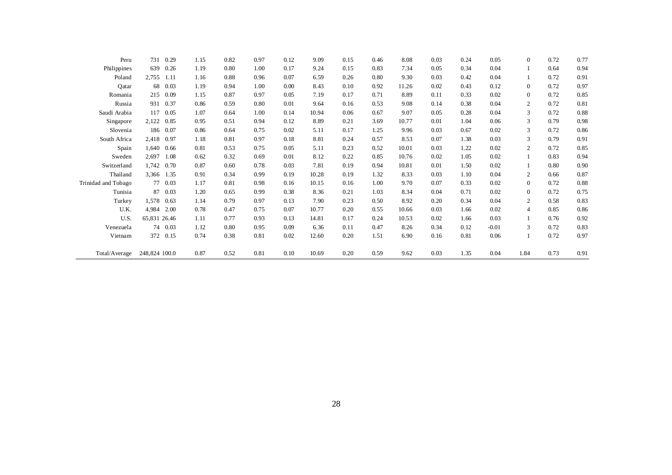| Peru                | 731           | 0.29     | 1.15 | 0.82 | 0.97 | 0.12 | 9.09  | 0.15 | 0.46 | 8.08  | 0.03 | 0.24 | 0.05    | $\overline{0}$ | 0.72 | 0.77 |
|---------------------|---------------|----------|------|------|------|------|-------|------|------|-------|------|------|---------|----------------|------|------|
| Philippines         | 639           | 0.26     | 1.19 | 0.80 | 1.00 | 0.17 | 9.24  | 0.15 | 0.83 | 7.34  | 0.05 | 0.34 | 0.04    |                | 0.64 | 0.94 |
| Poland              | 2,755         | 1.11     | 1.16 | 0.88 | 0.96 | 0.07 | 6.59  | 0.26 | 0.80 | 9.30  | 0.03 | 0.42 | 0.04    |                | 0.72 | 0.91 |
| Qatar               | 68            | 0.03     | 1.19 | 0.94 | 1.00 | 0.00 | 8.43  | 0.10 | 0.92 | 11.26 | 0.02 | 0.43 | 0.12    | $\overline{0}$ | 0.72 | 0.97 |
| Romania             | 215           | 0.09     | 1.15 | 0.87 | 0.97 | 0.05 | 7.19  | 0.17 | 0.71 | 8.89  | 0.11 | 0.33 | 0.02    | $\overline{0}$ | 0.72 | 0.85 |
| Russia              | 931           | 0.37     | 0.86 | 0.59 | 0.80 | 0.01 | 9.64  | 0.16 | 0.53 | 9.08  | 0.14 | 0.38 | 0.04    | $\overline{2}$ | 0.72 | 0.81 |
| Saudi Arabia        | 117           | 0.05     | 1.07 | 0.64 | 1.00 | 0.14 | 10.94 | 0.06 | 0.67 | 9.07  | 0.05 | 0.28 | 0.04    | 3              | 0.72 | 0.88 |
| Singapore           | 2,122         | 0.85     | 0.95 | 0.51 | 0.94 | 0.12 | 8.89  | 0.21 | 3.69 | 10.77 | 0.01 | 1.04 | 0.06    | 3              | 0.79 | 0.98 |
| Slovenia            |               | 186 0.07 | 0.86 | 0.64 | 0.75 | 0.02 | 5.11  | 0.17 | 1.25 | 9.96  | 0.03 | 0.67 | 0.02    | 3              | 0.72 | 0.86 |
| South Africa        | 2,418         | 0.97     | 1.18 | 0.81 | 0.97 | 0.18 | 8.81  | 0.24 | 0.57 | 8.53  | 0.07 | 1.38 | 0.03    | 3              | 0.79 | 0.91 |
| Spain               | 1,640         | 0.66     | 0.81 | 0.53 | 0.75 | 0.05 | 5.11  | 0.23 | 0.52 | 10.01 | 0.03 | 1.22 | 0.02    | 2              | 0.72 | 0.85 |
| Sweden              | 2,697         | 1.08     | 0.62 | 0.32 | 0.69 | 0.01 | 8.12  | 0.22 | 0.85 | 10.76 | 0.02 | 1.05 | 0.02    |                | 0.83 | 0.94 |
| Switzerland         | 1,742         | 0.70     | 0.87 | 0.60 | 0.78 | 0.03 | 7.81  | 0.19 | 0.94 | 10.81 | 0.01 | 1.50 | 0.02    |                | 0.80 | 0.90 |
| Thailand            | 3,366 1.35    |          | 0.91 | 0.34 | 0.99 | 0.19 | 10.28 | 0.19 | 1.32 | 8.33  | 0.03 | 1.10 | 0.04    | $\overline{2}$ | 0.66 | 0.87 |
| Trinidad and Tobago |               | 77 0.03  | 1.17 | 0.81 | 0.98 | 0.16 | 10.15 | 0.16 | 1.00 | 9.70  | 0.07 | 0.33 | 0.02    | $\overline{0}$ | 0.72 | 0.88 |
| Tunisia             | 87            | 0.03     | 1.20 | 0.65 | 0.99 | 0.38 | 8.36  | 0.21 | 1.03 | 8.34  | 0.04 | 0.71 | 0.02    | $\overline{0}$ | 0.72 | 0.75 |
| Turkey              | 1,578         | 0.63     | 1.14 | 0.79 | 0.97 | 0.13 | 7.90  | 0.23 | 0.50 | 8.92  | 0.20 | 0.34 | 0.04    | $\overline{2}$ | 0.58 | 0.83 |
| U.K.                | 4.984         | 2.00     | 0.78 | 0.47 | 0.75 | 0.07 | 10.77 | 0.20 | 0.55 | 10.66 | 0.03 | 1.66 | 0.02    | $\overline{4}$ | 0.85 | 0.86 |
| U.S.                | 65,831 26.46  |          | 1.11 | 0.77 | 0.93 | 0.13 | 14.81 | 0.17 | 0.24 | 10.53 | 0.02 | 1.66 | 0.03    |                | 0.76 | 0.92 |
| Venezuela           |               | 74 0.03  | 1.12 | 0.80 | 0.95 | 0.09 | 6.36  | 0.11 | 0.47 | 8.26  | 0.34 | 0.12 | $-0.01$ | 3              | 0.72 | 0.83 |
| Vietnam             |               | 372 0.15 | 0.74 | 0.38 | 0.81 | 0.02 | 12.60 | 0.20 | 1.51 | 6.90  | 0.16 | 0.81 | 0.06    |                | 0.72 | 0.97 |
| Total/Average       | 248,824 100.0 |          | 0.87 | 0.52 | 0.81 | 0.10 | 10.69 | 0.20 | 0.59 | 9.62  | 0.03 | 1.35 | 0.04    | 1.84           | 0.73 | 0.91 |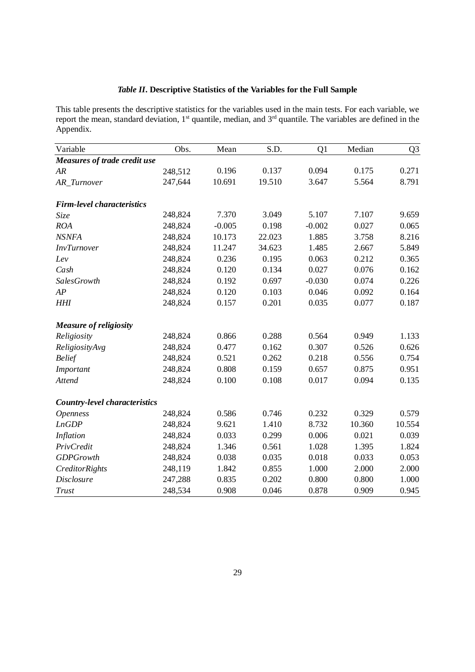# *Table II***. Descriptive Statistics of the Variables for the Full Sample**

This table presents the descriptive statistics for the variables used in the main tests. For each variable, we report the mean, standard deviation,  $1<sup>st</sup>$  quantile, median, and  $3<sup>rd</sup>$  quantile. The variables are defined in the Appendix.

| Variable                             | Obs.    | Mean     | S.D.   | Q1       | Median | Q <sub>3</sub> |
|--------------------------------------|---------|----------|--------|----------|--------|----------------|
| Measures of trade credit use         |         |          |        |          |        |                |
| AR                                   | 248,512 | 0.196    | 0.137  | 0.094    | 0.175  | 0.271          |
| AR_Turnover                          | 247,644 | 10.691   | 19.510 | 3.647    | 5.564  | 8.791          |
| <b>Firm-level characteristics</b>    |         |          |        |          |        |                |
| Size                                 | 248,824 | 7.370    | 3.049  | 5.107    | 7.107  | 9.659          |
| <b>ROA</b>                           | 248,824 | $-0.005$ | 0.198  | $-0.002$ | 0.027  | 0.065          |
| <b>NSNFA</b>                         | 248,824 | 10.173   | 22.023 | 1.885    | 3.758  | 8.216          |
| <b>InvTurnover</b>                   | 248,824 | 11.247   | 34.623 | 1.485    | 2.667  | 5.849          |
| Lev                                  | 248,824 | 0.236    | 0.195  | 0.063    | 0.212  | 0.365          |
| Cash                                 | 248,824 | 0.120    | 0.134  | 0.027    | 0.076  | 0.162          |
| SalesGrowth                          | 248,824 | 0.192    | 0.697  | $-0.030$ | 0.074  | 0.226          |
| AP                                   | 248,824 | 0.120    | 0.103  | 0.046    | 0.092  | 0.164          |
| <b>HHI</b>                           | 248,824 | 0.157    | 0.201  | 0.035    | 0.077  | 0.187          |
| <b>Measure of religiosity</b>        |         |          |        |          |        |                |
| Religiosity                          | 248,824 | 0.866    | 0.288  | 0.564    | 0.949  | 1.133          |
| ReligiosityAvg                       | 248,824 | 0.477    | 0.162  | 0.307    | 0.526  | 0.626          |
| <b>Belief</b>                        | 248,824 | 0.521    | 0.262  | 0.218    | 0.556  | 0.754          |
| Important                            | 248,824 | 0.808    | 0.159  | 0.657    | 0.875  | 0.951          |
| Attend                               | 248,824 | 0.100    | 0.108  | 0.017    | 0.094  | 0.135          |
| <b>Country-level characteristics</b> |         |          |        |          |        |                |
| <b>Openness</b>                      | 248,824 | 0.586    | 0.746  | 0.232    | 0.329  | 0.579          |
| <b>LnGDP</b>                         | 248,824 | 9.621    | 1.410  | 8.732    | 10.360 | 10.554         |
| <b>Inflation</b>                     | 248,824 | 0.033    | 0.299  | 0.006    | 0.021  | 0.039          |
| PrivCredit                           | 248,824 | 1.346    | 0.561  | 1.028    | 1.395  | 1.824          |
| <b>GDPGrowth</b>                     | 248,824 | 0.038    | 0.035  | 0.018    | 0.033  | 0.053          |
| CreditorRights                       | 248,119 | 1.842    | 0.855  | 1.000    | 2.000  | 2.000          |
| <b>Disclosure</b>                    | 247,288 | 0.835    | 0.202  | 0.800    | 0.800  | 1.000          |
| Trust                                | 248,534 | 0.908    | 0.046  | 0.878    | 0.909  | 0.945          |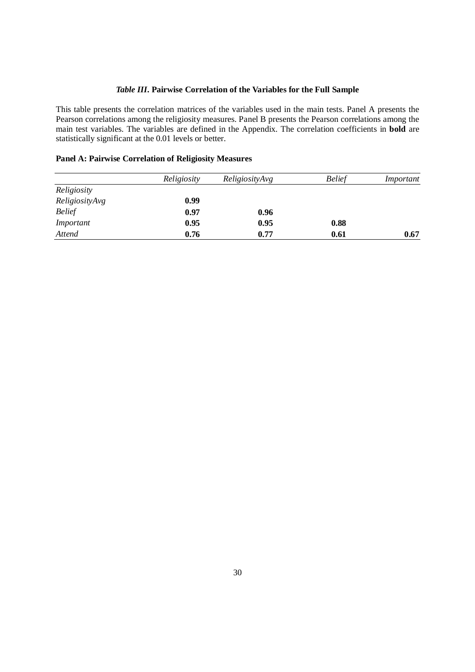### *Table III***. Pairwise Correlation of the Variables for the Full Sample**

This table presents the correlation matrices of the variables used in the main tests. Panel A presents the Pearson correlations among the religiosity measures. Panel B presents the Pearson correlations among the main test variables. The variables are defined in the Appendix. The correlation coefficients in **bold** are statistically significant at the 0.01 levels or better.

### **Panel A: Pairwise Correlation of Religiosity Measures**

|                | Religiosity | ReligiosityAvg | <b>Belief</b> | Important |
|----------------|-------------|----------------|---------------|-----------|
| Religiosity    |             |                |               |           |
| ReligiosityAvg | 0.99        |                |               |           |
| <b>Belief</b>  | 0.97        | 0.96           |               |           |
| Important      | 0.95        | 0.95           | 0.88          |           |
| Attend         | 0.76        | 0.77           | 0.61          | 0.67      |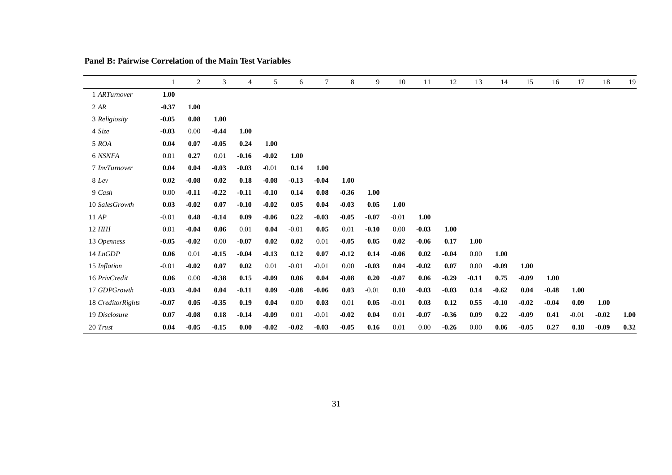|                   |         | 2       | 3       | 4       | 5       | 6       | 7       | 8       | 9       | 10      | 11      | 12      | 13      | 14      | 15      | 16      | 17      | 18      | 19   |
|-------------------|---------|---------|---------|---------|---------|---------|---------|---------|---------|---------|---------|---------|---------|---------|---------|---------|---------|---------|------|
| 1 ARTumover       | 1.00    |         |         |         |         |         |         |         |         |         |         |         |         |         |         |         |         |         |      |
| 2 AR              | $-0.37$ | 1.00    |         |         |         |         |         |         |         |         |         |         |         |         |         |         |         |         |      |
| 3 Religiosity     | $-0.05$ | 0.08    | 1.00    |         |         |         |         |         |         |         |         |         |         |         |         |         |         |         |      |
| 4 Size            | $-0.03$ | 0.00    | $-0.44$ | 1.00    |         |         |         |         |         |         |         |         |         |         |         |         |         |         |      |
| 5 ROA             | 0.04    | 0.07    | $-0.05$ | 0.24    | 1.00    |         |         |         |         |         |         |         |         |         |         |         |         |         |      |
| 6 NSNFA           | 0.01    | 0.27    | 0.01    | $-0.16$ | $-0.02$ | 1.00    |         |         |         |         |         |         |         |         |         |         |         |         |      |
| 7 InvTurnover     | 0.04    | 0.04    | $-0.03$ | $-0.03$ | $-0.01$ | 0.14    | 1.00    |         |         |         |         |         |         |         |         |         |         |         |      |
| 8 Lev             | 0.02    | $-0.08$ | 0.02    | 0.18    | $-0.08$ | $-0.13$ | $-0.04$ | 1.00    |         |         |         |         |         |         |         |         |         |         |      |
| 9 Cash            | 0.00    | $-0.11$ | $-0.22$ | $-0.11$ | $-0.10$ | 0.14    | 0.08    | $-0.36$ | 1.00    |         |         |         |         |         |         |         |         |         |      |
| 10 SalesGrowth    | 0.03    | $-0.02$ | 0.07    | $-0.10$ | $-0.02$ | 0.05    | 0.04    | $-0.03$ | 0.05    | 1.00    |         |         |         |         |         |         |         |         |      |
| 11 AP             | $-0.01$ | 0.48    | $-0.14$ | 0.09    | $-0.06$ | 0.22    | $-0.03$ | $-0.05$ | $-0.07$ | $-0.01$ | 1.00    |         |         |         |         |         |         |         |      |
| 12 HHI            | 0.01    | $-0.04$ | 0.06    | 0.01    | 0.04    | $-0.01$ | 0.05    | 0.01    | $-0.10$ | 0.00    | $-0.03$ | 1.00    |         |         |         |         |         |         |      |
| 13 Openness       | $-0.05$ | $-0.02$ | 0.00    | $-0.07$ | 0.02    | 0.02    | 0.01    | $-0.05$ | 0.05    | 0.02    | $-0.06$ | 0.17    | 1.00    |         |         |         |         |         |      |
| $14$ $LnGDP$      | 0.06    | 0.01    | $-0.15$ | $-0.04$ | $-0.13$ | 0.12    | 0.07    | $-0.12$ | 0.14    | $-0.06$ | 0.02    | $-0.04$ | 0.00    | 1.00    |         |         |         |         |      |
| 15 Inflation      | $-0.01$ | $-0.02$ | 0.07    | 0.02    | 0.01    | $-0.01$ | $-0.01$ | 0.00    | $-0.03$ | 0.04    | $-0.02$ | 0.07    | 0.00    | $-0.09$ | 1.00    |         |         |         |      |
| 16 PrivCredit     | 0.06    | 0.00    | $-0.38$ | 0.15    | $-0.09$ | 0.06    | 0.04    | $-0.08$ | 0.20    | $-0.07$ | 0.06    | $-0.29$ | $-0.11$ | 0.75    | $-0.09$ | 1.00    |         |         |      |
| 17 GDPGrowth      | $-0.03$ | $-0.04$ | 0.04    | $-0.11$ | 0.09    | $-0.08$ | $-0.06$ | 0.03    | $-0.01$ | 0.10    | $-0.03$ | $-0.03$ | 0.14    | $-0.62$ | 0.04    | $-0.48$ | 1.00    |         |      |
| 18 CreditorRights | $-0.07$ | 0.05    | $-0.35$ | 0.19    | 0.04    | 0.00    | 0.03    | 0.01    | 0.05    | $-0.01$ | 0.03    | 0.12    | 0.55    | $-0.10$ | $-0.02$ | $-0.04$ | 0.09    | 1.00    |      |
| 19 Disclosure     | 0.07    | $-0.08$ | 0.18    | $-0.14$ | $-0.09$ | 0.01    | $-0.01$ | $-0.02$ | 0.04    | 0.01    | $-0.07$ | $-0.36$ | 0.09    | 0.22    | $-0.09$ | 0.41    | $-0.01$ | $-0.02$ | 1.00 |
| 20 Trust          | 0.04    | $-0.05$ | $-0.15$ | 0.00    | $-0.02$ | $-0.02$ | $-0.03$ | $-0.05$ | 0.16    | 0.01    | 0.00    | $-0.26$ | 0.00    | 0.06    | $-0.05$ | 0.27    | 0.18    | $-0.09$ | 0.32 |

### **Panel B: Pairwise Correlation of the Main Test Variables**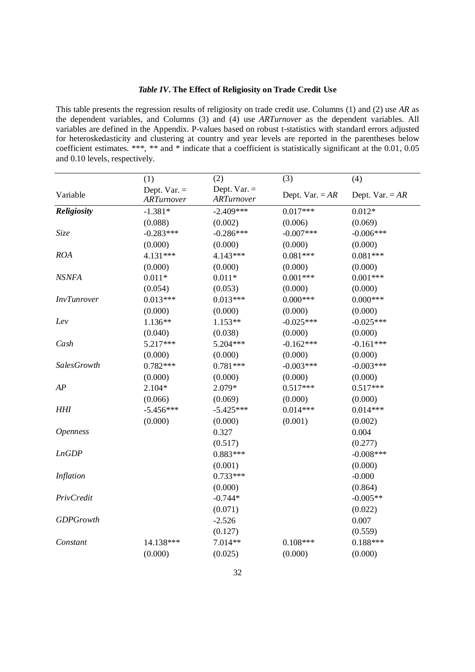### *Table IV***. The Effect of Religiosity on Trade Credit Use**

This table presents the regression results of religiosity on trade credit use. Columns (1) and (2) use *AR* as the dependent variables, and Columns (3) and (4) use *ARTurnover* as the dependent variables. All variables are defined in the Appendix. P-values based on robust t-statistics with standard errors adjusted for heteroskedasticity and clustering at country and year levels are reported in the parentheses below coefficient estimates. \*\*\*, \*\* and \* indicate that a coefficient is statistically significant at the 0.01, 0.05 and 0.10 levels, respectively.

| Dept. $Var =$<br>Dept. $Var =$<br>Variable<br>Dept. Var. = $AR$<br>Dept. Var. = $AR$<br>ARTurnover<br>ARTurnover<br>Religiosity<br>$-2.409***$<br>$-1.381*$<br>$0.017***$<br>$0.012*$<br>(0.088)<br>(0.002)<br>(0.006)<br>(0.069)<br>Size<br>$-0.283***$<br>$-0.286***$<br>$-0.006***$<br>$-0.007$ ***<br>(0.000)<br>(0.000)<br>(0.000)<br>(0.000)<br><b>ROA</b><br>$0.081***$<br>4.131***<br>4.143***<br>$0.081***$<br>(0.000)<br>(0.000)<br>(0.000)<br>(0.000)<br><b>NSNFA</b><br>$0.011*$<br>$0.001***$<br>$0.001***$<br>$0.011*$<br>(0.054)<br>(0.053)<br>(0.000)<br>(0.000)<br>$0.013***$<br>$0.013***$<br>$0.000***$<br>$0.000***$<br><b>InvTunrover</b><br>(0.000)<br>(0.000)<br>(0.000)<br>(0.000)<br>Lev<br>1.136**<br>1.153**<br>$-0.025***$<br>$-0.025***$<br>(0.040)<br>(0.038)<br>(0.000)<br>(0.000)<br>5.217***<br>$-0.162***$<br>$-0.161***$<br>5.204***<br>Cash<br>(0.000)<br>(0.000)<br>(0.000)<br>(0.000)<br>$0.782***$<br>$0.781***$<br>$-0.003***$<br>$-0.003***$<br>SalesGrowth<br>(0.000)<br>(0.000)<br>(0.000)<br>(0.000)<br>AP<br>$2.104*$<br>2.079*<br>$0.517***$<br>$0.517***$<br>(0.066)<br>(0.069)<br>(0.000)<br>(0.000)<br><b>HHI</b><br>$-5.456***$<br>$0.014***$<br>$0.014***$<br>$-5.425***$<br>(0.000)<br>(0.001)<br>(0.000)<br>(0.002)<br>0.327<br>0.004<br><b>Openness</b><br>(0.517)<br>(0.277)<br><b>LnGDP</b><br>$0.883***$<br>$-0.008$ ***<br>(0.001)<br>(0.000)<br>Inflation<br>$0.733***$<br>$-0.000$<br>(0.000)<br>(0.864)<br>$-0.744*$<br>$-0.005**$<br>PrivCredit<br>(0.071)<br>(0.022)<br><b>GDPGrowth</b><br>$-2.526$<br>0.007<br>(0.127)<br>(0.559)<br>$0.188***$<br>14.138***<br>7.014**<br>$0.108***$<br>Constant<br>(0.000)<br>(0.000)<br>(0.025)<br>(0.000) | (1) | (2) | (3) | (4) |
|----------------------------------------------------------------------------------------------------------------------------------------------------------------------------------------------------------------------------------------------------------------------------------------------------------------------------------------------------------------------------------------------------------------------------------------------------------------------------------------------------------------------------------------------------------------------------------------------------------------------------------------------------------------------------------------------------------------------------------------------------------------------------------------------------------------------------------------------------------------------------------------------------------------------------------------------------------------------------------------------------------------------------------------------------------------------------------------------------------------------------------------------------------------------------------------------------------------------------------------------------------------------------------------------------------------------------------------------------------------------------------------------------------------------------------------------------------------------------------------------------------------------------------------------------------------------------------------------------------------------------------------------------------------------------------------------------------------|-----|-----|-----|-----|
|                                                                                                                                                                                                                                                                                                                                                                                                                                                                                                                                                                                                                                                                                                                                                                                                                                                                                                                                                                                                                                                                                                                                                                                                                                                                                                                                                                                                                                                                                                                                                                                                                                                                                                                |     |     |     |     |
|                                                                                                                                                                                                                                                                                                                                                                                                                                                                                                                                                                                                                                                                                                                                                                                                                                                                                                                                                                                                                                                                                                                                                                                                                                                                                                                                                                                                                                                                                                                                                                                                                                                                                                                |     |     |     |     |
|                                                                                                                                                                                                                                                                                                                                                                                                                                                                                                                                                                                                                                                                                                                                                                                                                                                                                                                                                                                                                                                                                                                                                                                                                                                                                                                                                                                                                                                                                                                                                                                                                                                                                                                |     |     |     |     |
|                                                                                                                                                                                                                                                                                                                                                                                                                                                                                                                                                                                                                                                                                                                                                                                                                                                                                                                                                                                                                                                                                                                                                                                                                                                                                                                                                                                                                                                                                                                                                                                                                                                                                                                |     |     |     |     |
|                                                                                                                                                                                                                                                                                                                                                                                                                                                                                                                                                                                                                                                                                                                                                                                                                                                                                                                                                                                                                                                                                                                                                                                                                                                                                                                                                                                                                                                                                                                                                                                                                                                                                                                |     |     |     |     |
|                                                                                                                                                                                                                                                                                                                                                                                                                                                                                                                                                                                                                                                                                                                                                                                                                                                                                                                                                                                                                                                                                                                                                                                                                                                                                                                                                                                                                                                                                                                                                                                                                                                                                                                |     |     |     |     |
|                                                                                                                                                                                                                                                                                                                                                                                                                                                                                                                                                                                                                                                                                                                                                                                                                                                                                                                                                                                                                                                                                                                                                                                                                                                                                                                                                                                                                                                                                                                                                                                                                                                                                                                |     |     |     |     |
|                                                                                                                                                                                                                                                                                                                                                                                                                                                                                                                                                                                                                                                                                                                                                                                                                                                                                                                                                                                                                                                                                                                                                                                                                                                                                                                                                                                                                                                                                                                                                                                                                                                                                                                |     |     |     |     |
|                                                                                                                                                                                                                                                                                                                                                                                                                                                                                                                                                                                                                                                                                                                                                                                                                                                                                                                                                                                                                                                                                                                                                                                                                                                                                                                                                                                                                                                                                                                                                                                                                                                                                                                |     |     |     |     |
|                                                                                                                                                                                                                                                                                                                                                                                                                                                                                                                                                                                                                                                                                                                                                                                                                                                                                                                                                                                                                                                                                                                                                                                                                                                                                                                                                                                                                                                                                                                                                                                                                                                                                                                |     |     |     |     |
|                                                                                                                                                                                                                                                                                                                                                                                                                                                                                                                                                                                                                                                                                                                                                                                                                                                                                                                                                                                                                                                                                                                                                                                                                                                                                                                                                                                                                                                                                                                                                                                                                                                                                                                |     |     |     |     |
|                                                                                                                                                                                                                                                                                                                                                                                                                                                                                                                                                                                                                                                                                                                                                                                                                                                                                                                                                                                                                                                                                                                                                                                                                                                                                                                                                                                                                                                                                                                                                                                                                                                                                                                |     |     |     |     |
|                                                                                                                                                                                                                                                                                                                                                                                                                                                                                                                                                                                                                                                                                                                                                                                                                                                                                                                                                                                                                                                                                                                                                                                                                                                                                                                                                                                                                                                                                                                                                                                                                                                                                                                |     |     |     |     |
|                                                                                                                                                                                                                                                                                                                                                                                                                                                                                                                                                                                                                                                                                                                                                                                                                                                                                                                                                                                                                                                                                                                                                                                                                                                                                                                                                                                                                                                                                                                                                                                                                                                                                                                |     |     |     |     |
|                                                                                                                                                                                                                                                                                                                                                                                                                                                                                                                                                                                                                                                                                                                                                                                                                                                                                                                                                                                                                                                                                                                                                                                                                                                                                                                                                                                                                                                                                                                                                                                                                                                                                                                |     |     |     |     |
|                                                                                                                                                                                                                                                                                                                                                                                                                                                                                                                                                                                                                                                                                                                                                                                                                                                                                                                                                                                                                                                                                                                                                                                                                                                                                                                                                                                                                                                                                                                                                                                                                                                                                                                |     |     |     |     |
|                                                                                                                                                                                                                                                                                                                                                                                                                                                                                                                                                                                                                                                                                                                                                                                                                                                                                                                                                                                                                                                                                                                                                                                                                                                                                                                                                                                                                                                                                                                                                                                                                                                                                                                |     |     |     |     |
|                                                                                                                                                                                                                                                                                                                                                                                                                                                                                                                                                                                                                                                                                                                                                                                                                                                                                                                                                                                                                                                                                                                                                                                                                                                                                                                                                                                                                                                                                                                                                                                                                                                                                                                |     |     |     |     |
|                                                                                                                                                                                                                                                                                                                                                                                                                                                                                                                                                                                                                                                                                                                                                                                                                                                                                                                                                                                                                                                                                                                                                                                                                                                                                                                                                                                                                                                                                                                                                                                                                                                                                                                |     |     |     |     |
|                                                                                                                                                                                                                                                                                                                                                                                                                                                                                                                                                                                                                                                                                                                                                                                                                                                                                                                                                                                                                                                                                                                                                                                                                                                                                                                                                                                                                                                                                                                                                                                                                                                                                                                |     |     |     |     |
|                                                                                                                                                                                                                                                                                                                                                                                                                                                                                                                                                                                                                                                                                                                                                                                                                                                                                                                                                                                                                                                                                                                                                                                                                                                                                                                                                                                                                                                                                                                                                                                                                                                                                                                |     |     |     |     |
|                                                                                                                                                                                                                                                                                                                                                                                                                                                                                                                                                                                                                                                                                                                                                                                                                                                                                                                                                                                                                                                                                                                                                                                                                                                                                                                                                                                                                                                                                                                                                                                                                                                                                                                |     |     |     |     |
|                                                                                                                                                                                                                                                                                                                                                                                                                                                                                                                                                                                                                                                                                                                                                                                                                                                                                                                                                                                                                                                                                                                                                                                                                                                                                                                                                                                                                                                                                                                                                                                                                                                                                                                |     |     |     |     |
|                                                                                                                                                                                                                                                                                                                                                                                                                                                                                                                                                                                                                                                                                                                                                                                                                                                                                                                                                                                                                                                                                                                                                                                                                                                                                                                                                                                                                                                                                                                                                                                                                                                                                                                |     |     |     |     |
|                                                                                                                                                                                                                                                                                                                                                                                                                                                                                                                                                                                                                                                                                                                                                                                                                                                                                                                                                                                                                                                                                                                                                                                                                                                                                                                                                                                                                                                                                                                                                                                                                                                                                                                |     |     |     |     |
|                                                                                                                                                                                                                                                                                                                                                                                                                                                                                                                                                                                                                                                                                                                                                                                                                                                                                                                                                                                                                                                                                                                                                                                                                                                                                                                                                                                                                                                                                                                                                                                                                                                                                                                |     |     |     |     |
|                                                                                                                                                                                                                                                                                                                                                                                                                                                                                                                                                                                                                                                                                                                                                                                                                                                                                                                                                                                                                                                                                                                                                                                                                                                                                                                                                                                                                                                                                                                                                                                                                                                                                                                |     |     |     |     |
|                                                                                                                                                                                                                                                                                                                                                                                                                                                                                                                                                                                                                                                                                                                                                                                                                                                                                                                                                                                                                                                                                                                                                                                                                                                                                                                                                                                                                                                                                                                                                                                                                                                                                                                |     |     |     |     |
|                                                                                                                                                                                                                                                                                                                                                                                                                                                                                                                                                                                                                                                                                                                                                                                                                                                                                                                                                                                                                                                                                                                                                                                                                                                                                                                                                                                                                                                                                                                                                                                                                                                                                                                |     |     |     |     |
|                                                                                                                                                                                                                                                                                                                                                                                                                                                                                                                                                                                                                                                                                                                                                                                                                                                                                                                                                                                                                                                                                                                                                                                                                                                                                                                                                                                                                                                                                                                                                                                                                                                                                                                |     |     |     |     |
|                                                                                                                                                                                                                                                                                                                                                                                                                                                                                                                                                                                                                                                                                                                                                                                                                                                                                                                                                                                                                                                                                                                                                                                                                                                                                                                                                                                                                                                                                                                                                                                                                                                                                                                |     |     |     |     |
|                                                                                                                                                                                                                                                                                                                                                                                                                                                                                                                                                                                                                                                                                                                                                                                                                                                                                                                                                                                                                                                                                                                                                                                                                                                                                                                                                                                                                                                                                                                                                                                                                                                                                                                |     |     |     |     |
|                                                                                                                                                                                                                                                                                                                                                                                                                                                                                                                                                                                                                                                                                                                                                                                                                                                                                                                                                                                                                                                                                                                                                                                                                                                                                                                                                                                                                                                                                                                                                                                                                                                                                                                |     |     |     |     |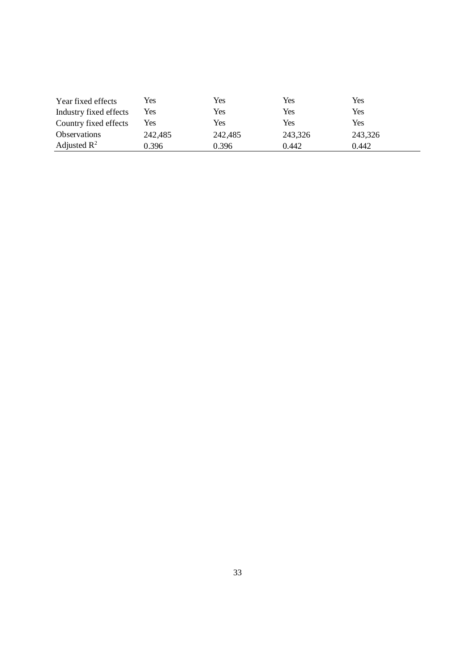| Year fixed effects      | Yes     | Yes     | Yes     | Yes     |
|-------------------------|---------|---------|---------|---------|
| Industry fixed effects  | Yes     | Yes     | Yes     | Yes     |
| Country fixed effects   | Yes     | Yes     | Yes     | Yes     |
| <b>Observations</b>     | 242,485 | 242,485 | 243,326 | 243,326 |
| Adjusted $\mathbb{R}^2$ | 0.396   | 0.396   | 0.442   | 0.442   |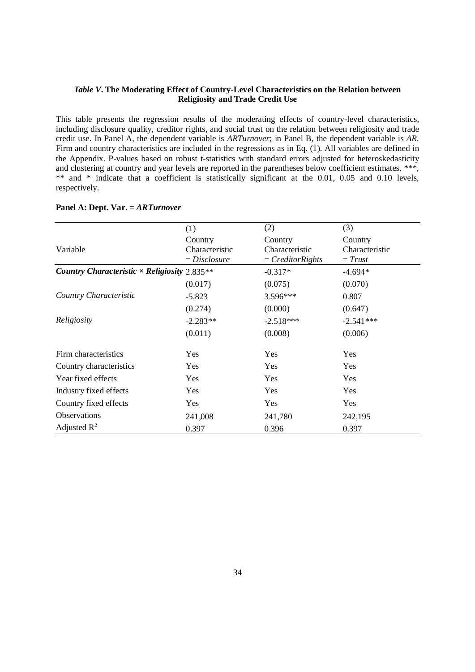#### *Table V***. The Moderating Effect of Country-Level Characteristics on the Relation between Religiosity and Trade Credit Use**

This table presents the regression results of the moderating effects of country-level characteristics, including disclosure quality, creditor rights, and social trust on the relation between religiosity and trade credit use. In Panel A, the dependent variable is *ARTurnover*; in Panel B, the dependent variable is *AR*. Firm and country characteristics are included in the regressions as in Eq. (1). All variables are defined in the Appendix. P-values based on robust t-statistics with standard errors adjusted for heteroskedasticity and clustering at country and year levels are reported in the parentheses below coefficient estimates. \*\*\*, \*\* and \* indicate that a coefficient is statistically significant at the 0.01, 0.05 and 0.10 levels, respectively.

|                                                     | (1)            | (2)                 | (3)            |
|-----------------------------------------------------|----------------|---------------------|----------------|
|                                                     | Country        | Country             | Country        |
| Variable                                            | Characteristic | Characteristic      | Characteristic |
|                                                     | $= Disclosure$ | $= Creditor Rights$ | $=$ Trust      |
| Country Characteristic $\times$ Religiosity 2.835** |                | $-0.317*$           | $-4.694*$      |
|                                                     | (0.017)        | (0.075)             | (0.070)        |
| Country Characteristic                              | $-5.823$       | $3.596***$          | 0.807          |
|                                                     | (0.274)        | (0.000)             | (0.647)        |
| Religiosity                                         | $-2.283**$     | $-2.518***$         | $-2.541***$    |
|                                                     | (0.011)        | (0.008)             | (0.006)        |
| Firm characteristics                                | Yes            | Yes                 | Yes            |
| Country characteristics                             | Yes            | Yes                 | Yes            |
| Year fixed effects                                  | Yes            | Yes                 | Yes            |
| Industry fixed effects                              | Yes            | Yes                 | Yes            |
| Country fixed effects                               | Yes            | Yes                 | Yes            |
| <b>Observations</b>                                 | 241,008        | 241,780             | 242,195        |
| Adjusted $\mathbb{R}^2$                             | 0.397          | 0.396               | 0.397          |

#### **Panel A: Dept. Var. =** *ARTurnover*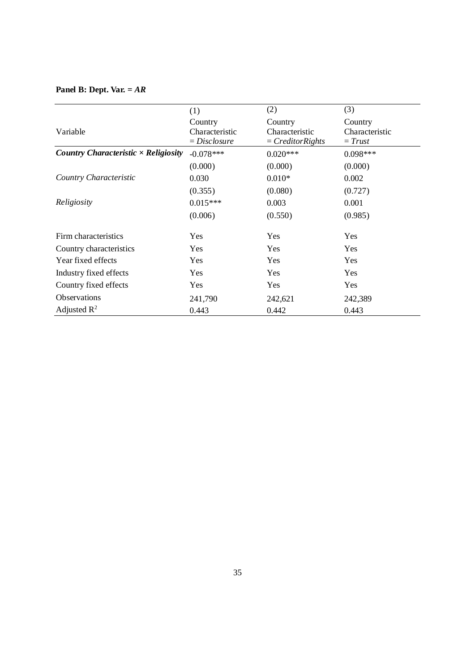# **Panel B: Dept. Var. =** *AR*

|                                             | (1)            | (2)                 | (3)            |
|---------------------------------------------|----------------|---------------------|----------------|
|                                             | Country        | Country             | Country        |
| Variable                                    | Characteristic | Characteristic      | Characteristic |
|                                             | $= Disclosure$ | $= Creditor Rights$ | $=$ Trust      |
| Country Characteristic $\times$ Religiosity | $-0.078***$    | $0.020***$          | $0.098***$     |
|                                             | (0.000)        | (0.000)             | (0.000)        |
| Country Characteristic                      | 0.030          | $0.010*$            | 0.002          |
|                                             | (0.355)        | (0.080)             | (0.727)        |
| Religiosity                                 | $0.015***$     | 0.003               | 0.001          |
|                                             | (0.006)        | (0.550)             | (0.985)        |
| Firm characteristics                        | Yes            | Yes                 | Yes            |
| Country characteristics                     | Yes            | Yes                 | Yes            |
| Year fixed effects                          | Yes            | Yes                 | Yes            |
| Industry fixed effects                      | Yes            | Yes                 | Yes            |
| Country fixed effects                       | Yes            | Yes                 | Yes            |
| <b>Observations</b>                         | 241,790        | 242,621             | 242,389        |
| Adjusted $\mathbb{R}^2$                     | 0.443          | 0.442               | 0.443          |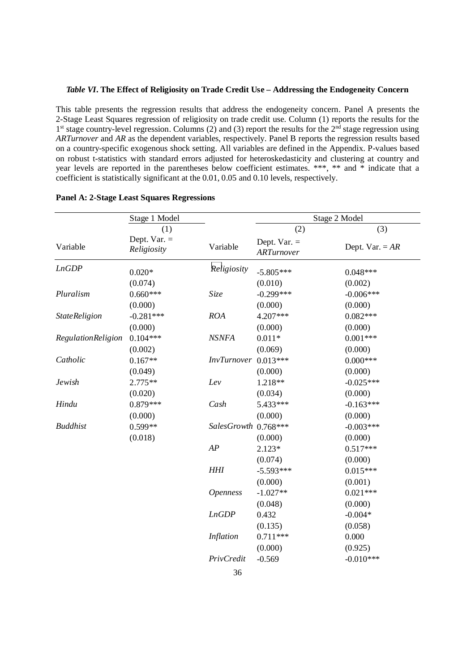#### *Table VI***. The Effect of Religiosity on Trade Credit Use – Addressing the Endogeneity Concern**

This table presents the regression results that address the endogeneity concern. Panel A presents the 2-Stage Least Squares regression of religiosity on trade credit use. Column (1) reports the results for the 1<sup>st</sup> stage country-level regression. Columns (2) and (3) report the results for the 2<sup>nd</sup> stage regression using *ARTurnover* and *AR* as the dependent variables, respectively. Panel B reports the regression results based on a country-specific exogenous shock setting. All variables are defined in the Appendix. P-values based on robust t-statistics with standard errors adjusted for heteroskedasticity and clustering at country and year levels are reported in the parentheses below coefficient estimates. \*\*\*, \*\* and \* indicate that a coefficient is statistically significant at the 0.01, 0.05 and 0.10 levels, respectively.

| Stage 1 Model        |                               | Stage 2 Model         |                              |                   |  |
|----------------------|-------------------------------|-----------------------|------------------------------|-------------------|--|
|                      | (1)                           |                       | (2)                          | (3)               |  |
| Variable             | Dept. Var. $=$<br>Religiosity | Variable              | Dept. Var. $=$<br>ARTurnover | Dept. Var. $= AR$ |  |
| <b>LnGDP</b>         | $0.020*$                      | Religiosity           | $-5.805***$                  | $0.048***$        |  |
|                      | (0.074)                       |                       | (0.010)                      | (0.002)           |  |
| Pluralism            | $0.660***$                    | Size                  | $-0.299***$                  | $-0.006***$       |  |
|                      | (0.000)                       |                       | (0.000)                      | (0.000)           |  |
| <b>StateReligion</b> | $-0.281***$                   | <b>ROA</b>            | 4.207***                     | $0.082***$        |  |
|                      | (0.000)                       |                       | (0.000)                      | (0.000)           |  |
| RegulationReligion   | $0.104***$                    | <b>NSNFA</b>          | $0.011*$                     | $0.001***$        |  |
|                      | (0.002)                       |                       | (0.069)                      | (0.000)           |  |
| Catholic             | $0.167**$                     | InvTurnover 0.013***  |                              | $0.000***$        |  |
|                      | (0.049)                       |                       | (0.000)                      | (0.000)           |  |
| Jewish               | 2.775**                       | Lev                   | 1.218**                      | $-0.025***$       |  |
|                      | (0.020)                       |                       | (0.034)                      | (0.000)           |  |
| Hindu                | $0.879***$                    | Cash                  | 5.433***                     | $-0.163***$       |  |
|                      | (0.000)                       |                       | (0.000)                      | (0.000)           |  |
| <b>Buddhist</b>      | $0.599**$                     | SalesGrowth 0.768 *** |                              | $-0.003***$       |  |
|                      | (0.018)                       |                       | (0.000)                      | (0.000)           |  |
|                      |                               | AP                    | $2.123*$                     | $0.517***$        |  |
|                      |                               |                       | (0.074)                      | (0.000)           |  |
|                      |                               | <b>HHI</b>            | $-5.593***$                  | $0.015***$        |  |
|                      |                               |                       | (0.000)                      | (0.001)           |  |
|                      |                               | <b>Openness</b>       | $-1.027**$                   | $0.021***$        |  |
|                      |                               |                       | (0.048)                      | (0.000)           |  |
|                      |                               | <b>LnGDP</b>          | 0.432                        | $-0.004*$         |  |
|                      |                               |                       | (0.135)                      | (0.058)           |  |
|                      |                               | Inflation             | $0.711***$                   | 0.000             |  |
|                      |                               |                       | (0.000)                      | (0.925)           |  |
|                      |                               | PrivCredit            | $-0.569$                     | $-0.010***$       |  |

### **Panel A: 2-Stage Least Squares Regressions**

36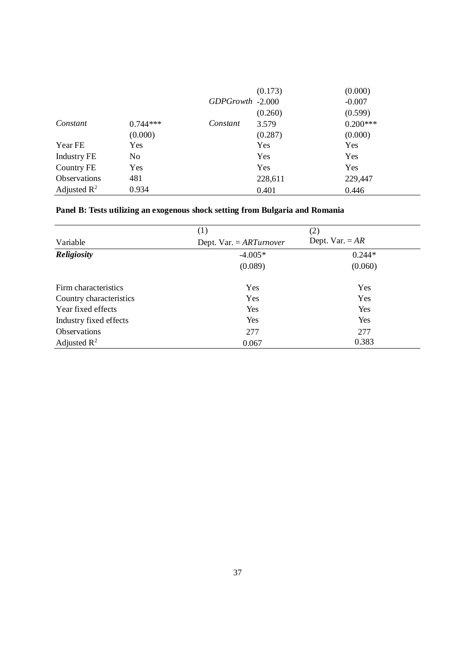|                         |                |                  | (0.173) | (0.000)    |
|-------------------------|----------------|------------------|---------|------------|
|                         |                | GDPGrowth -2.000 |         | $-0.007$   |
|                         |                |                  | (0.260) | (0.599)    |
| Constant                | $0.744***$     | Constant         | 3.579   | $0.200***$ |
|                         | (0.000)        |                  | (0.287) | (0.000)    |
| Year FE                 | Yes            |                  | Yes     | Yes        |
| <b>Industry FE</b>      | N <sub>0</sub> |                  | Yes     | Yes        |
| Country FE              | Yes            |                  | Yes     | Yes        |
| <b>Observations</b>     | 481            |                  | 228,611 | 229,447    |
| Adjusted $\mathbb{R}^2$ | 0.934          |                  | 0.401   | 0.446      |

# **Panel B: Tests utilizing an exogenous shock setting from Bulgaria and Romania**

|                         | (1)                       | (2)               |
|-------------------------|---------------------------|-------------------|
| Variable                | Dept. Var. $= ARTurnover$ | Dept. Var. $= AR$ |
| <b>Religiosity</b>      | $-4.005*$                 | $0.244*$          |
|                         | (0.089)                   | (0.060)           |
| Firm characteristics    | Yes                       | Yes               |
| Country characteristics | Yes                       | Yes               |
| Year fixed effects      | Yes                       | Yes               |
| Industry fixed effects  | Yes                       | Yes               |
| Observations            | 277                       | 277               |
| Adjusted $\mathbb{R}^2$ | 0.067                     | 0.383             |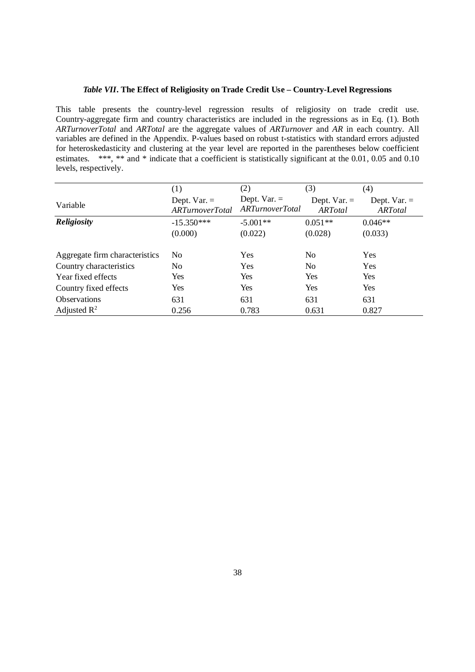### *Table VII***. The Effect of Religiosity on Trade Credit Use – Country-Level Regressions**

This table presents the country-level regression results of religiosity on trade credit use. Country-aggregate firm and country characteristics are included in the regressions as in Eq. (1). Both *ARTurnoverTotal* and *ARTotal* are the aggregate values of *ARTurnover* and *AR* in each country. All variables are defined in the Appendix. P-values based on robust t-statistics with standard errors adjusted for heteroskedasticity and clustering at the year level are reported in the parentheses below coefficient estimates. \*\*\*, \*\* and \* indicate that a coefficient is statistically significant at the 0.01, 0.05 and 0.10 levels, respectively.

|                                | (1)                                     | (2)                                     | (3)                      | (4)                      |
|--------------------------------|-----------------------------------------|-----------------------------------------|--------------------------|--------------------------|
| Variable                       | Dept. $Var =$<br><b>ARTurnoverTotal</b> | Dept. $Var =$<br><b>ARTurnoverTotal</b> | Dept. $Var =$<br>ARTotal | Dept. $Var =$<br>ARTotal |
| <b>Religiosity</b>             | $-15.350***$                            | $-5.001**$                              | $0.051**$                | $0.046**$                |
|                                | (0.000)                                 | (0.022)                                 | (0.028)                  | (0.033)                  |
| Aggregate firm characteristics | N <sub>0</sub>                          | Yes                                     | N <sub>0</sub>           | Yes                      |
| Country characteristics        | N <sub>0</sub>                          | <b>Yes</b>                              | N <sub>0</sub>           | Yes                      |
| Year fixed effects             | Yes                                     | <b>Yes</b>                              | Yes                      | <b>Yes</b>               |
| Country fixed effects          | Yes                                     | Yes                                     | Yes                      | Yes                      |
| <b>Observations</b>            | 631                                     | 631                                     | 631                      | 631                      |
| Adjusted $\mathbb{R}^2$        | 0.256                                   | 0.783                                   | 0.631                    | 0.827                    |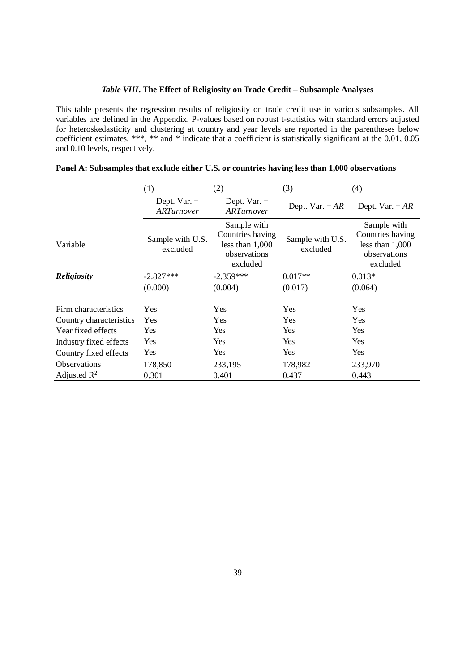### *Table VIII***. The Effect of Religiosity on Trade Credit – Subsample Analyses**

This table presents the regression results of religiosity on trade credit use in various subsamples. All variables are defined in the Appendix. P-values based on robust t-statistics with standard errors adjusted for heteroskedasticity and clustering at country and year levels are reported in the parentheses below coefficient estimates. \*\*\*, \*\* and \* indicate that a coefficient is statistically significant at the 0.01, 0.05 and 0.10 levels, respectively.

|                         | (1)                                | (2)                                                                              | (3)                          | (4)                                                                              |
|-------------------------|------------------------------------|----------------------------------------------------------------------------------|------------------------------|----------------------------------------------------------------------------------|
|                         | Dept. $Var =$<br><b>ARTurnover</b> | Dept. $Var =$<br><b>ARTurnover</b>                                               | Dept. Var. $= AR$            | Dept. Var. $= AR$                                                                |
| Variable                | Sample with U.S.<br>excluded       | Sample with<br>Countries having<br>less than $1,000$<br>observations<br>excluded | Sample with U.S.<br>excluded | Sample with<br>Countries having<br>less than $1,000$<br>observations<br>excluded |
| <b>Religiosity</b>      | $-2.827***$                        | $-2.359***$                                                                      | $0.017**$                    | $0.013*$                                                                         |
|                         | (0.000)                            | (0.004)                                                                          | (0.017)                      | (0.064)                                                                          |
| Firm characteristics    | Yes                                | Yes                                                                              | Yes                          | Yes                                                                              |
| Country characteristics | Yes                                | Yes                                                                              | Yes                          | Yes                                                                              |
| Year fixed effects      | Yes                                | Yes                                                                              | Yes                          | Yes                                                                              |
| Industry fixed effects  | Yes                                | Yes                                                                              | Yes                          | Yes                                                                              |
| Country fixed effects   | Yes                                | Yes                                                                              | Yes                          | Yes                                                                              |
| <b>Observations</b>     | 178,850                            | 233,195                                                                          | 178,982                      | 233,970                                                                          |
| Adjusted $\mathbb{R}^2$ | 0.301                              | 0.401                                                                            | 0.437                        | 0.443                                                                            |

### **Panel A: Subsamples that exclude either U.S. or countries having less than 1,000 observations**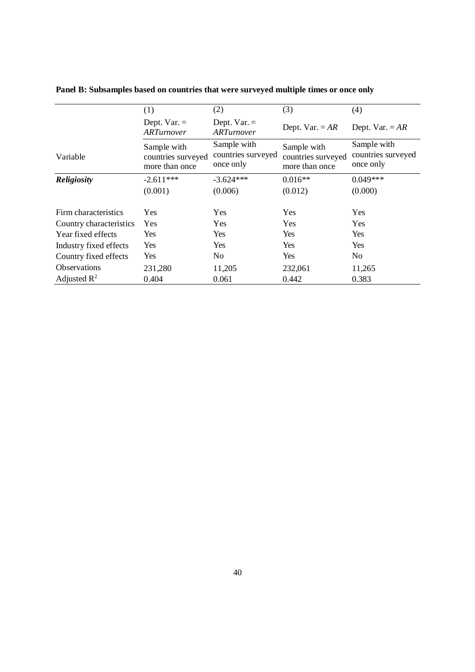|                         | (1)                                                 | (2)                                            | (3)                                                 | (4)                                            |
|-------------------------|-----------------------------------------------------|------------------------------------------------|-----------------------------------------------------|------------------------------------------------|
|                         | Dept. $Var =$<br>ARTurnover                         | Dept. $Var =$<br>ARTurnover                    | Dept. Var. $= AR$                                   | Dept. Var. $= AR$                              |
| Variable                | Sample with<br>countries surveyed<br>more than once | Sample with<br>countries surveyed<br>once only | Sample with<br>countries surveyed<br>more than once | Sample with<br>countries surveyed<br>once only |
| <b>Religiosity</b>      | $-2.611***$                                         | $-3.624***$                                    | $0.016**$                                           | $0.049***$                                     |
|                         | (0.001)                                             | (0.006)                                        | (0.012)                                             | (0.000)                                        |
| Firm characteristics    | Yes                                                 | Yes                                            | Yes                                                 | Yes                                            |
| Country characteristics | <b>Yes</b>                                          | <b>Yes</b>                                     | Yes                                                 | <b>Yes</b>                                     |
| Year fixed effects      | <b>Yes</b>                                          | Yes                                            | Yes                                                 | <b>Yes</b>                                     |
| Industry fixed effects  | Yes                                                 | Yes                                            | Yes                                                 | Yes                                            |
| Country fixed effects   | <b>Yes</b>                                          | N <sub>o</sub>                                 | Yes                                                 | N <sub>0</sub>                                 |
| <b>Observations</b>     | 231,280                                             | 11,205                                         | 232,061                                             | 11,265                                         |
| Adjusted $\mathbb{R}^2$ | 0.404                                               | 0.061                                          | 0.442                                               | 0.383                                          |

**Panel B: Subsamples based on countries that were surveyed multiple times or once only**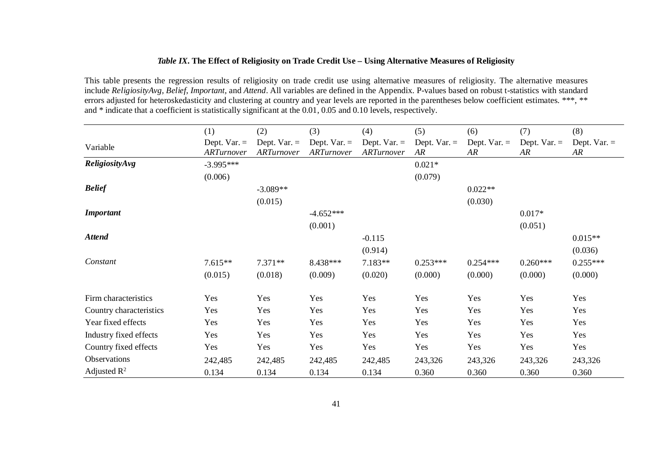### *Table IX***. The Effect of Religiosity on Trade Credit Use – Using Alternative Measures of Religiosity**

This table presents the regression results of religiosity on trade credit use using alternative measures of religiosity. The alternative measures include *ReligiosityAvg*, *Belief*, *Important,* and *Attend*. All variables are defined in the Appendix. P-values based on robust t-statistics with standard errors adjusted for heteroskedasticity and clustering at country and year levels are reported in the parentheses below coefficient estimates. \*\*\*, \*\* and \* indicate that a coefficient is statistically significant at the 0.01, 0.05 and 0.10 levels, respectively.

|                         | (1)                         | (2)                         | (3)                         | (4)                                 | (5)                  | (6)                 | (7)                 | (8)                  |
|-------------------------|-----------------------------|-----------------------------|-----------------------------|-------------------------------------|----------------------|---------------------|---------------------|----------------------|
| Variable                | Dept. $Var =$<br>ARTurnover | Dept. $Var =$<br>ARTurnover | Dept. $Var =$<br>ARTurnover | Dept. Var. $=$<br><b>ARTurnover</b> | Dept. Var. $=$<br>AR | Dept. $Var =$<br>AR | Dept. $Var =$<br>AR | Dept. Var. $=$<br>AR |
| ReligiosityAvg          | $-3.995***$                 |                             |                             |                                     | $0.021*$             |                     |                     |                      |
|                         | (0.006)                     |                             |                             |                                     | (0.079)              |                     |                     |                      |
| <b>Belief</b>           |                             | $-3.089**$                  |                             |                                     |                      | $0.022**$           |                     |                      |
|                         |                             | (0.015)                     |                             |                                     |                      | (0.030)             |                     |                      |
| <b>Important</b>        |                             |                             | $-4.652***$                 |                                     |                      |                     | $0.017*$            |                      |
|                         |                             |                             | (0.001)                     |                                     |                      |                     | (0.051)             |                      |
| <b>Attend</b>           |                             |                             |                             | $-0.115$                            |                      |                     |                     | $0.015**$            |
|                         |                             |                             |                             | (0.914)                             |                      |                     |                     | (0.036)              |
| Constant                | $7.615**$                   | $7.371**$                   | 8.438***                    | 7.183**                             | $0.253***$           | $0.254***$          | $0.260***$          | $0.255***$           |
|                         | (0.015)                     | (0.018)                     | (0.009)                     | (0.020)                             | (0.000)              | (0.000)             | (0.000)             | (0.000)              |
| Firm characteristics    | Yes                         | Yes                         | Yes                         | Yes                                 | Yes                  | Yes                 | Yes                 | Yes                  |
| Country characteristics | Yes                         | Yes                         | Yes                         | Yes                                 | Yes                  | Yes                 | Yes                 | Yes                  |
| Year fixed effects      | Yes                         | Yes                         | Yes                         | Yes                                 | Yes                  | Yes                 | Yes                 | Yes                  |
| Industry fixed effects  | Yes                         | Yes                         | Yes                         | Yes                                 | Yes                  | Yes                 | Yes                 | Yes                  |
| Country fixed effects   | Yes                         | Yes                         | Yes                         | Yes                                 | Yes                  | Yes                 | Yes                 | Yes                  |
| Observations            | 242,485                     | 242,485                     | 242,485                     | 242,485                             | 243,326              | 243,326             | 243,326             | 243,326              |
| Adjusted $\mathbb{R}^2$ | 0.134                       | 0.134                       | 0.134                       | 0.134                               | 0.360                | 0.360               | 0.360               | 0.360                |